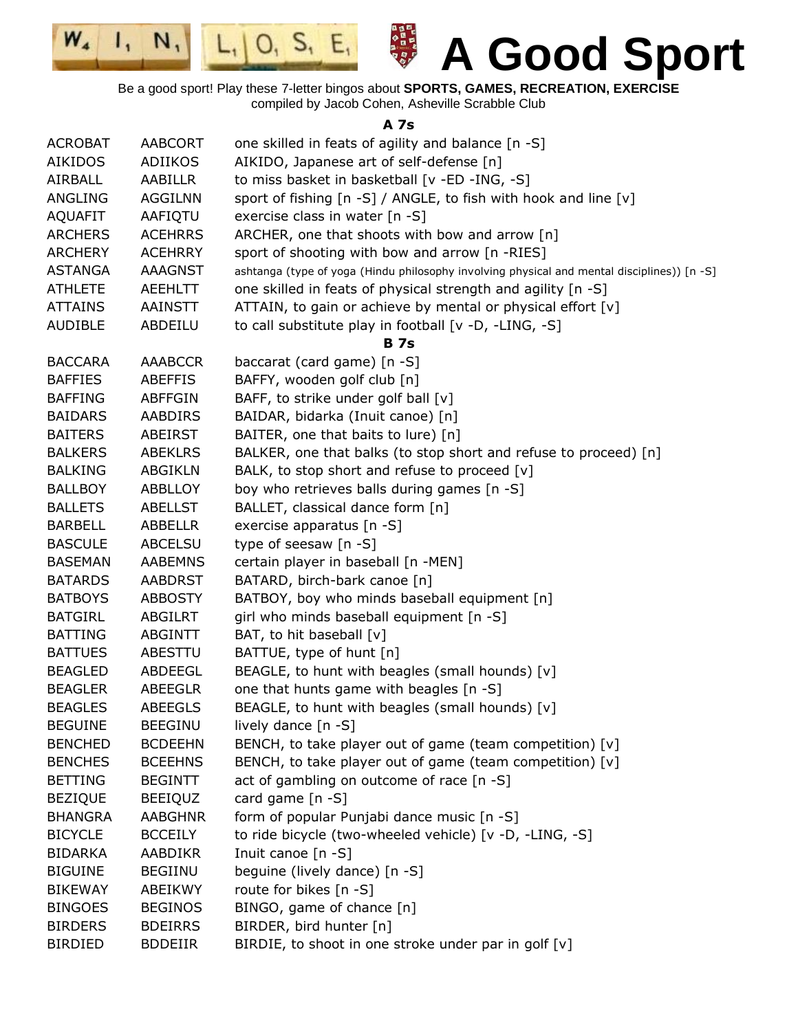

**A 7s**

| <b>ACROBAT</b> | AABCORT        | one skilled in feats of agility and balance [n -S]                                          |
|----------------|----------------|---------------------------------------------------------------------------------------------|
| <b>AIKIDOS</b> | ADIIKOS        | AIKIDO, Japanese art of self-defense [n]                                                    |
| AIRBALL        | AABILLR        | to miss basket in basketball [v -ED -ING, -S]                                               |
| ANGLING        | <b>AGGILNN</b> | sport of fishing [n -S] / ANGLE, to fish with hook and line [v]                             |
| <b>AQUAFIT</b> | AAFIQTU        | exercise class in water [n -S]                                                              |
| <b>ARCHERS</b> | <b>ACEHRRS</b> | ARCHER, one that shoots with bow and arrow [n]                                              |
| <b>ARCHERY</b> | <b>ACEHRRY</b> | sport of shooting with bow and arrow [n -RIES]                                              |
| <b>ASTANGA</b> | <b>AAAGNST</b> | ashtanga (type of yoga (Hindu philosophy involving physical and mental disciplines)) [n -S] |
| <b>ATHLETE</b> | <b>AEEHLTT</b> | one skilled in feats of physical strength and agility [n -S]                                |
| <b>ATTAINS</b> | AAINSTT        | ATTAIN, to gain or achieve by mental or physical effort [v]                                 |
| <b>AUDIBLE</b> | ABDEILU        | to call substitute play in football [v -D, -LING, -S]                                       |
|                |                | <b>B</b> 7s                                                                                 |
| <b>BACCARA</b> | AAABCCR        | baccarat (card game) [n -S]                                                                 |
| <b>BAFFIES</b> | <b>ABEFFIS</b> | BAFFY, wooden golf club [n]                                                                 |
| <b>BAFFING</b> | <b>ABFFGIN</b> | BAFF, to strike under golf ball [v]                                                         |
| <b>BAIDARS</b> | AABDIRS        | BAIDAR, bidarka (Inuit canoe) [n]                                                           |
| <b>BAITERS</b> | <b>ABEIRST</b> | BAITER, one that baits to lure) [n]                                                         |
| <b>BALKERS</b> | <b>ABEKLRS</b> | BALKER, one that balks (to stop short and refuse to proceed) [n]                            |
| <b>BALKING</b> | <b>ABGIKLN</b> | BALK, to stop short and refuse to proceed [v]                                               |
| <b>BALLBOY</b> | <b>ABBLLOY</b> | boy who retrieves balls during games [n -S]                                                 |
| <b>BALLETS</b> | <b>ABELLST</b> | BALLET, classical dance form [n]                                                            |
| <b>BARBELL</b> | <b>ABBELLR</b> | exercise apparatus [n -S]                                                                   |
| <b>BASCULE</b> | <b>ABCELSU</b> | type of seesaw [n -S]                                                                       |
| <b>BASEMAN</b> | <b>AABEMNS</b> | certain player in baseball [n -MEN]                                                         |
| <b>BATARDS</b> | <b>AABDRST</b> | BATARD, birch-bark canoe [n]                                                                |
| <b>BATBOYS</b> | <b>ABBOSTY</b> | BATBOY, boy who minds baseball equipment [n]                                                |
| <b>BATGIRL</b> | <b>ABGILRT</b> | girl who minds baseball equipment [n -S]                                                    |
| <b>BATTING</b> | ABGINTT        | BAT, to hit baseball [v]                                                                    |
| <b>BATTUES</b> | ABESTTU        | BATTUE, type of hunt [n]                                                                    |
| <b>BEAGLED</b> | ABDEEGL        | BEAGLE, to hunt with beagles (small hounds) [v]                                             |
| <b>BEAGLER</b> | <b>ABEEGLR</b> | one that hunts game with beagles [n -S]                                                     |
| <b>BEAGLES</b> | <b>ABEEGLS</b> | BEAGLE, to hunt with beagles (small hounds) [v]                                             |
| <b>BEGUINE</b> | <b>BEEGINU</b> | lively dance $[n - S]$                                                                      |
| <b>BENCHED</b> | <b>BCDEEHN</b> | BENCH, to take player out of game (team competition) [v]                                    |
| <b>BENCHES</b> | <b>BCEEHNS</b> | BENCH, to take player out of game (team competition) [v]                                    |
| <b>BETTING</b> | <b>BEGINTT</b> | act of gambling on outcome of race [n -S]                                                   |
| <b>BEZIQUE</b> | <b>BEEIQUZ</b> | card game [n -S]                                                                            |
| <b>BHANGRA</b> | <b>AABGHNR</b> | form of popular Punjabi dance music [n -S]                                                  |
| <b>BICYCLE</b> | <b>BCCEILY</b> | to ride bicycle (two-wheeled vehicle) [v -D, -LING, -S]                                     |
| <b>BIDARKA</b> | AABDIKR        | Inuit canoe [n -S]                                                                          |
| <b>BIGUINE</b> | <b>BEGIINU</b> | beguine (lively dance) [n -S]                                                               |
| <b>BIKEWAY</b> | ABEIKWY        | route for bikes [n -S]                                                                      |
| <b>BINGOES</b> | <b>BEGINOS</b> | BINGO, game of chance [n]                                                                   |
| <b>BIRDERS</b> | <b>BDEIRRS</b> | BIRDER, bird hunter [n]                                                                     |
| <b>BIRDIED</b> | <b>BDDEIIR</b> | BIRDIE, to shoot in one stroke under par in golf [v]                                        |
|                |                |                                                                                             |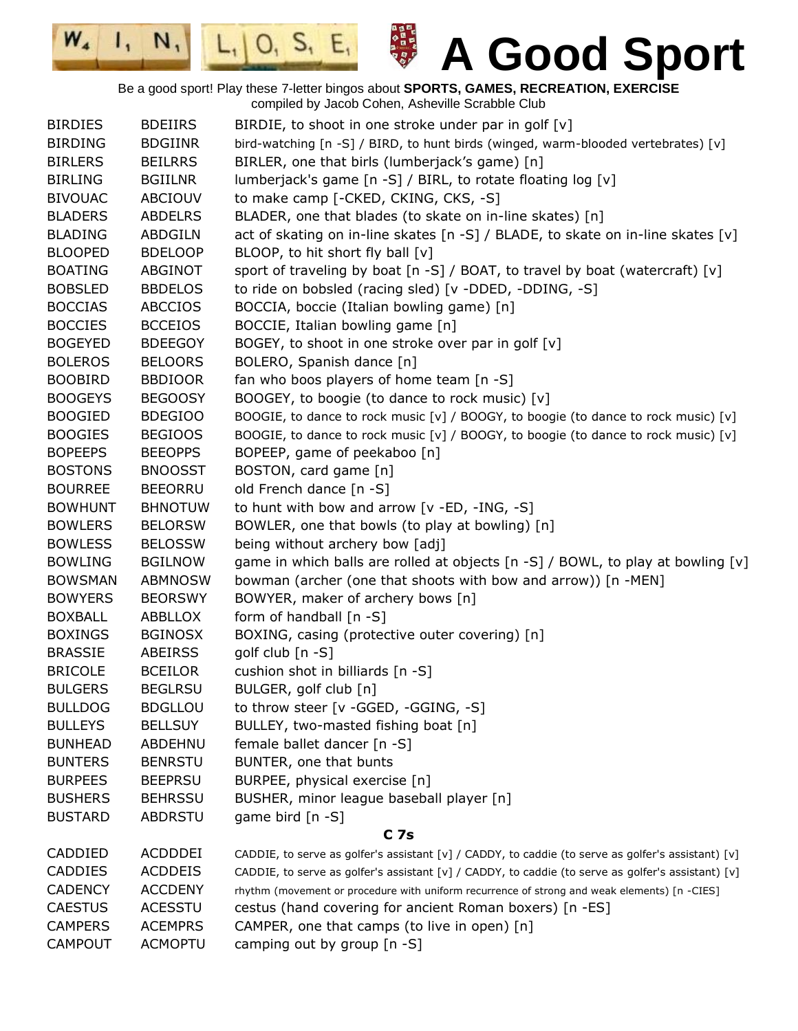日本日本の日本の

 $|0, 5, E,$ 

 $W_{4}$ 

 $\mathbf{I}_{1}$ 

 $N,$ 

| <b>BIRDIES</b> | <b>BDEIIRS</b> | BIRDIE, to shoot in one stroke under par in golf [v]                                               |
|----------------|----------------|----------------------------------------------------------------------------------------------------|
| <b>BIRDING</b> | <b>BDGIINR</b> | bird-watching [n -S] / BIRD, to hunt birds (winged, warm-blooded vertebrates) [v]                  |
| <b>BIRLERS</b> | <b>BEILRRS</b> | BIRLER, one that birls (lumberjack's game) [n]                                                     |
| <b>BIRLING</b> | <b>BGIILNR</b> | lumberjack's game [n -S] / BIRL, to rotate floating log [v]                                        |
| <b>BIVOUAC</b> | ABCIOUV        | to make camp [-CKED, CKING, CKS, -S]                                                               |
| <b>BLADERS</b> | <b>ABDELRS</b> | BLADER, one that blades (to skate on in-line skates) [n]                                           |
| <b>BLADING</b> | ABDGILN        | act of skating on in-line skates [n -S] / BLADE, to skate on in-line skates [v]                    |
| <b>BLOOPED</b> | <b>BDELOOP</b> | BLOOP, to hit short fly ball [v]                                                                   |
| <b>BOATING</b> | ABGINOT        | sport of traveling by boat $[n -S]$ / BOAT, to travel by boat (watercraft) $[v]$                   |
| <b>BOBSLED</b> | <b>BBDELOS</b> | to ride on bobsled (racing sled) [v -DDED, -DDING, -S]                                             |
| <b>BOCCIAS</b> | <b>ABCCIOS</b> | BOCCIA, boccie (Italian bowling game) [n]                                                          |
| <b>BOCCIES</b> | <b>BCCEIOS</b> | BOCCIE, Italian bowling game [n]                                                                   |
| <b>BOGEYED</b> | <b>BDEEGOY</b> | BOGEY, to shoot in one stroke over par in golf [v]                                                 |
| <b>BOLEROS</b> | <b>BELOORS</b> | BOLERO, Spanish dance [n]                                                                          |
| <b>BOOBIRD</b> | <b>BBDIOOR</b> | fan who boos players of home team [n -S]                                                           |
| <b>BOOGEYS</b> | <b>BEGOOSY</b> | BOOGEY, to boogie (to dance to rock music) [v]                                                     |
| <b>BOOGIED</b> | <b>BDEGIOO</b> | BOOGIE, to dance to rock music [v] / BOOGY, to boogie (to dance to rock music) [v]                 |
| <b>BOOGIES</b> | <b>BEGIOOS</b> | BOOGIE, to dance to rock music [v] / BOOGY, to boogie (to dance to rock music) [v]                 |
| <b>BOPEEPS</b> | <b>BEEOPPS</b> | BOPEEP, game of peekaboo [n]                                                                       |
| <b>BOSTONS</b> | <b>BNOOSST</b> | BOSTON, card game [n]                                                                              |
| <b>BOURREE</b> | <b>BEEORRU</b> | old French dance [n -S]                                                                            |
| <b>BOWHUNT</b> | <b>BHNOTUW</b> | to hunt with bow and arrow [v -ED, -ING, -S]                                                       |
| <b>BOWLERS</b> | <b>BELORSW</b> | BOWLER, one that bowls (to play at bowling) [n]                                                    |
| <b>BOWLESS</b> | <b>BELOSSW</b> | being without archery bow [adj]                                                                    |
| <b>BOWLING</b> | <b>BGILNOW</b> | game in which balls are rolled at objects [n -S] / BOWL, to play at bowling [v]                    |
| <b>BOWSMAN</b> | <b>ABMNOSW</b> | bowman (archer (one that shoots with bow and arrow)) [n -MEN]                                      |
| <b>BOWYERS</b> | <b>BEORSWY</b> | BOWYER, maker of archery bows [n]                                                                  |
| <b>BOXBALL</b> | ABBLLOX        | form of handball [n -S]                                                                            |
| <b>BOXINGS</b> | <b>BGINOSX</b> | BOXING, casing (protective outer covering) [n]                                                     |
| <b>BRASSIE</b> | ABEIRSS        | golf club [n -S]                                                                                   |
| <b>BRICOLE</b> | <b>BCEILOR</b> | cushion shot in billiards [n -S]                                                                   |
| <b>BULGERS</b> | <b>BEGLRSU</b> | BULGER, golf club [n]                                                                              |
| <b>BULLDOG</b> | <b>BDGLLOU</b> | to throw steer [v -GGED, -GGING, -S]                                                               |
| <b>BULLEYS</b> | <b>BELLSUY</b> | BULLEY, two-masted fishing boat [n]                                                                |
| <b>BUNHEAD</b> | ABDEHNU        | female ballet dancer [n -S]                                                                        |
| <b>BUNTERS</b> | <b>BENRSTU</b> | BUNTER, one that bunts                                                                             |
| <b>BURPEES</b> | <b>BEEPRSU</b> | BURPEE, physical exercise [n]                                                                      |
| <b>BUSHERS</b> | <b>BEHRSSU</b> | BUSHER, minor league baseball player [n]                                                           |
| <b>BUSTARD</b> | ABDRSTU        | game bird [n -S]                                                                                   |
|                |                | C <sub>7s</sub>                                                                                    |
| CADDIED        | ACDDDEI        | CADDIE, to serve as golfer's assistant [v] / CADDY, to caddie (to serve as golfer's assistant) [v] |
| CADDIES        | <b>ACDDEIS</b> | CADDIE, to serve as golfer's assistant [v] / CADDY, to caddie (to serve as golfer's assistant) [v] |
| <b>CADENCY</b> | <b>ACCDENY</b> | rhythm (movement or procedure with uniform recurrence of strong and weak elements) [n -CIES]       |
| <b>CAESTUS</b> | <b>ACESSTU</b> | cestus (hand covering for ancient Roman boxers) [n -ES]                                            |
| <b>CAMPERS</b> | <b>ACEMPRS</b> | CAMPER, one that camps (to live in open) [n]                                                       |
| <b>CAMPOUT</b> | <b>ACMOPTU</b> | camping out by group [n -S]                                                                        |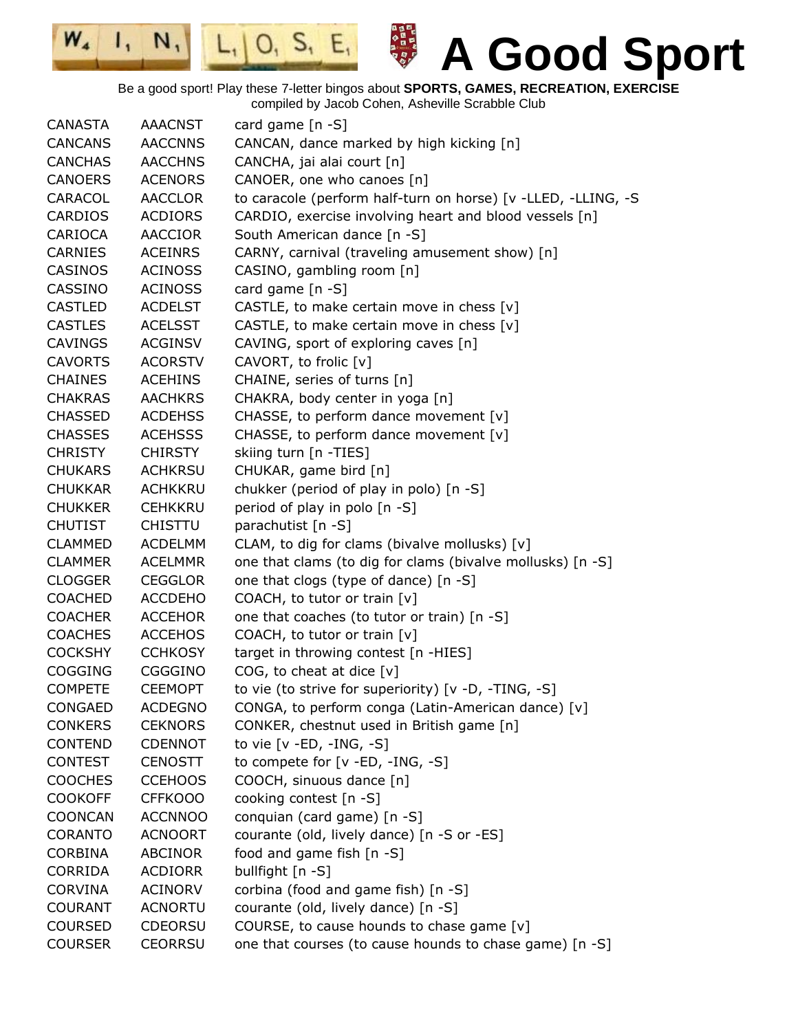

Be a good sport! Play these 7-letter bingos about **SPORTS, GAMES, RECREATION, EXERCISE**

compiled by Jacob Cohen, Asheville Scrabble Club

| <b>CANASTA</b> | <b>AAACNST</b> | card game $[n -S]$                                            |
|----------------|----------------|---------------------------------------------------------------|
| <b>CANCANS</b> | <b>AACCNNS</b> | CANCAN, dance marked by high kicking [n]                      |
| <b>CANCHAS</b> | <b>AACCHNS</b> | CANCHA, jai alai court [n]                                    |
| <b>CANOERS</b> | <b>ACENORS</b> | CANOER, one who canoes [n]                                    |
| CARACOL        | <b>AACCLOR</b> | to caracole (perform half-turn on horse) [v -LLED, -LLING, -S |
| <b>CARDIOS</b> | <b>ACDIORS</b> | CARDIO, exercise involving heart and blood vessels [n]        |
| CARIOCA        | <b>AACCIOR</b> | South American dance [n -S]                                   |
| <b>CARNIES</b> | <b>ACEINRS</b> | CARNY, carnival (traveling amusement show) [n]                |
| CASINOS        | <b>ACINOSS</b> | CASINO, gambling room [n]                                     |
| <b>CASSINO</b> | <b>ACINOSS</b> | card game [n -S]                                              |
| <b>CASTLED</b> | <b>ACDELST</b> | CASTLE, to make certain move in chess [v]                     |
| <b>CASTLES</b> | <b>ACELSST</b> | CASTLE, to make certain move in chess [v]                     |
| <b>CAVINGS</b> | <b>ACGINSV</b> | CAVING, sport of exploring caves [n]                          |
| <b>CAVORTS</b> | <b>ACORSTV</b> | CAVORT, to frolic [v]                                         |
| <b>CHAINES</b> | <b>ACEHINS</b> | CHAINE, series of turns [n]                                   |
| <b>CHAKRAS</b> | <b>AACHKRS</b> | CHAKRA, body center in yoga [n]                               |
| <b>CHASSED</b> | <b>ACDEHSS</b> | CHASSE, to perform dance movement [v]                         |
| <b>CHASSES</b> | <b>ACEHSSS</b> | CHASSE, to perform dance movement [v]                         |
| <b>CHRISTY</b> | <b>CHIRSTY</b> | skiing turn [n -TIES]                                         |
| <b>CHUKARS</b> | <b>ACHKRSU</b> | CHUKAR, game bird [n]                                         |
| <b>CHUKKAR</b> | <b>ACHKKRU</b> | chukker (period of play in polo) [n -S]                       |
| <b>CHUKKER</b> | <b>CEHKKRU</b> | period of play in polo [n -S]                                 |
| <b>CHUTIST</b> | <b>CHISTTU</b> | parachutist [n -S]                                            |
| <b>CLAMMED</b> | <b>ACDELMM</b> | CLAM, to dig for clams (bivalve mollusks) [v]                 |
| <b>CLAMMER</b> | <b>ACELMMR</b> | one that clams (to dig for clams (bivalve mollusks) [n -S]    |
| <b>CLOGGER</b> | <b>CEGGLOR</b> | one that clogs (type of dance) [n -S]                         |
| <b>COACHED</b> | <b>ACCDEHO</b> | COACH, to tutor or train [v]                                  |
| <b>COACHER</b> | <b>ACCEHOR</b> | one that coaches (to tutor or train) [n -S]                   |
| <b>COACHES</b> | <b>ACCEHOS</b> | COACH, to tutor or train [v]                                  |
| <b>COCKSHY</b> | <b>CCHKOSY</b> | target in throwing contest [n -HIES]                          |
| COGGING        | CGGGINO        | COG, to cheat at dice $[v]$                                   |
| <b>COMPETE</b> | <b>CEEMOPT</b> | to vie (to strive for superiority) [v -D, -TING, -S]          |
| CONGAED        | <b>ACDEGNO</b> | CONGA, to perform conga (Latin-American dance) [v]            |
| <b>CONKERS</b> | <b>CEKNORS</b> | CONKER, chestnut used in British game [n]                     |
| <b>CONTEND</b> | <b>CDENNOT</b> | to vie $[v - ED, -ING, -S]$                                   |
| <b>CONTEST</b> | <b>CENOSTT</b> | to compete for [v -ED, -ING, -S]                              |
| <b>COOCHES</b> | <b>CCEHOOS</b> | COOCH, sinuous dance [n]                                      |
| <b>COOKOFF</b> | <b>CFFKOOO</b> | cooking contest [n -S]                                        |
| <b>COONCAN</b> | <b>ACCNNOO</b> | conquian (card game) [n -S]                                   |
| <b>CORANTO</b> | <b>ACNOORT</b> | courante (old, lively dance) [n -S or -ES]                    |
| <b>CORBINA</b> | ABCINOR        | food and game fish [n -S]                                     |
| <b>CORRIDA</b> | <b>ACDIORR</b> | bullfight [n -S]                                              |
| <b>CORVINA</b> | <b>ACINORV</b> | corbina (food and game fish) [n -S]                           |
| COURANT        | <b>ACNORTU</b> | courante (old, lively dance) [n -S]                           |
| <b>COURSED</b> | <b>CDEORSU</b> | COURSE, to cause hounds to chase game [v]                     |
| <b>COURSER</b> | <b>CEORRSU</b> | one that courses (to cause hounds to chase game) [n -S]       |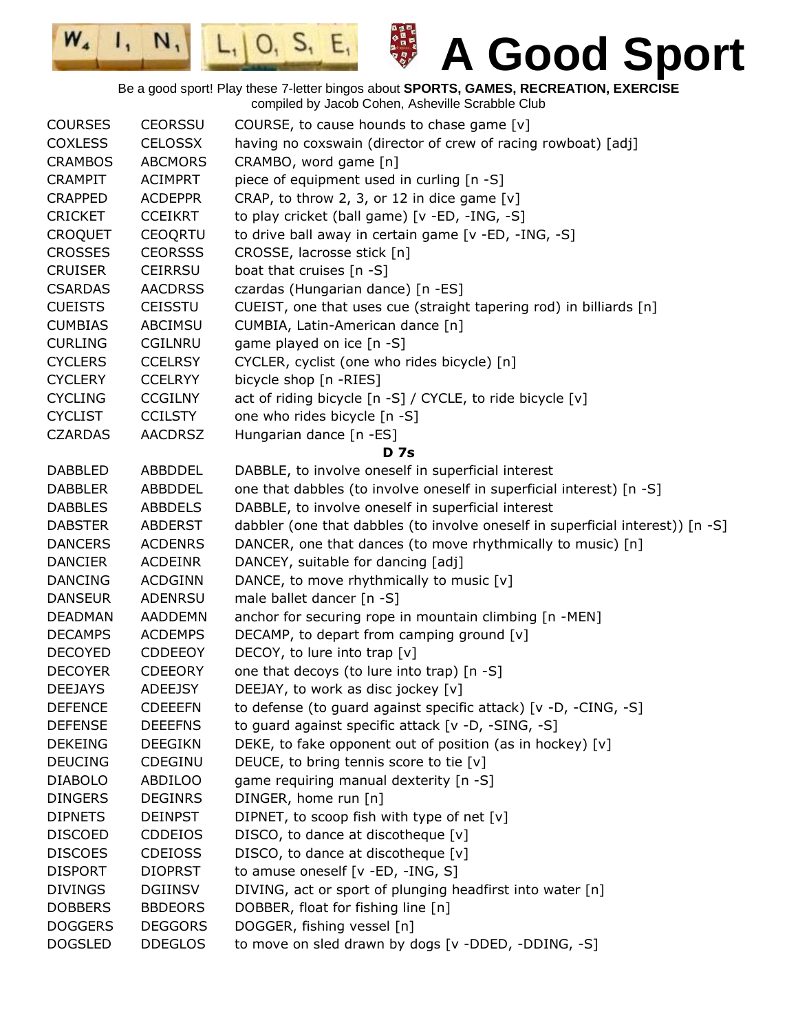日本日本の日本の  $\mathbf{I}_{1}$  $|0, 5, E,$  $N,$ **A Good Sport**  $L_{1}$ Be a good sport! Play these 7-letter bingos about **SPORTS, GAMES, RECREATION, EXERCISE** compiled by Jacob Cohen, Asheville Scrabble Club

 $W_{4}$ 

| <b>COURSES</b> | <b>CEORSSU</b> | COURSE, to cause hounds to chase game $[v]$                                    |
|----------------|----------------|--------------------------------------------------------------------------------|
| <b>COXLESS</b> | <b>CELOSSX</b> | having no coxswain (director of crew of racing rowboat) [adj]                  |
| <b>CRAMBOS</b> | <b>ABCMORS</b> | CRAMBO, word game [n]                                                          |
| <b>CRAMPIT</b> | <b>ACIMPRT</b> | piece of equipment used in curling [n -S]                                      |
| <b>CRAPPED</b> | <b>ACDEPPR</b> | CRAP, to throw 2, 3, or 12 in dice game $[v]$                                  |
| <b>CRICKET</b> | <b>CCEIKRT</b> | to play cricket (ball game) [v -ED, -ING, -S]                                  |
| <b>CROQUET</b> | <b>CEOQRTU</b> | to drive ball away in certain game [v -ED, -ING, -S]                           |
| <b>CROSSES</b> | <b>CEORSSS</b> | CROSSE, lacrosse stick [n]                                                     |
| <b>CRUISER</b> | <b>CEIRRSU</b> | boat that cruises [n -S]                                                       |
| <b>CSARDAS</b> | <b>AACDRSS</b> | czardas (Hungarian dance) [n -ES]                                              |
| <b>CUEISTS</b> | <b>CEISSTU</b> | CUEIST, one that uses cue (straight tapering rod) in billiards [n]             |
| <b>CUMBIAS</b> | ABCIMSU        | CUMBIA, Latin-American dance [n]                                               |
| <b>CURLING</b> | <b>CGILNRU</b> | game played on ice [n -S]                                                      |
| <b>CYCLERS</b> | <b>CCELRSY</b> | CYCLER, cyclist (one who rides bicycle) [n]                                    |
| <b>CYCLERY</b> | <b>CCELRYY</b> | bicycle shop [n -RIES]                                                         |
| <b>CYCLING</b> | <b>CCGILNY</b> | act of riding bicycle [n -S] / CYCLE, to ride bicycle [v]                      |
| <b>CYCLIST</b> | <b>CCILSTY</b> | one who rides bicycle [n -S]                                                   |
| <b>CZARDAS</b> | <b>AACDRSZ</b> | Hungarian dance [n -ES]                                                        |
|                |                | <b>D</b> 7s                                                                    |
| <b>DABBLED</b> | ABBDDEL        | DABBLE, to involve oneself in superficial interest                             |
| <b>DABBLER</b> | ABBDDEL        | one that dabbles (to involve oneself in superficial interest) [n -S]           |
| <b>DABBLES</b> | <b>ABBDELS</b> | DABBLE, to involve oneself in superficial interest                             |
| <b>DABSTER</b> | <b>ABDERST</b> | dabbler (one that dabbles (to involve oneself in superficial interest)) [n -S] |
| <b>DANCERS</b> | <b>ACDENRS</b> | DANCER, one that dances (to move rhythmically to music) [n]                    |
| <b>DANCIER</b> | <b>ACDEINR</b> | DANCEY, suitable for dancing [adj]                                             |
| <b>DANCING</b> | <b>ACDGINN</b> | DANCE, to move rhythmically to music [v]                                       |
| <b>DANSEUR</b> | <b>ADENRSU</b> | male ballet dancer [n -S]                                                      |
| <b>DEADMAN</b> | <b>AADDEMN</b> | anchor for securing rope in mountain climbing [n -MEN]                         |
| <b>DECAMPS</b> | <b>ACDEMPS</b> | DECAMP, to depart from camping ground [v]                                      |
| <b>DECOYED</b> | <b>CDDEEOY</b> | DECOY, to lure into trap [v]                                                   |
| <b>DECOYER</b> | <b>CDEEORY</b> | one that decoys (to lure into trap) [n -S]                                     |
| <b>DEEJAYS</b> | <b>ADEEJSY</b> | DEEJAY, to work as disc jockey [v]                                             |
| <b>DEFENCE</b> | <b>CDEEEFN</b> | to defense (to guard against specific attack) [v -D, -CING, -S]                |
| <b>DEFENSE</b> | <b>DEEEFNS</b> | to guard against specific attack [v -D, -SING, -S]                             |
| <b>DEKEING</b> | <b>DEEGIKN</b> | DEKE, to fake opponent out of position (as in hockey) [v]                      |
| <b>DEUCING</b> | CDEGINU        | DEUCE, to bring tennis score to tie [v]                                        |
| <b>DIABOLO</b> | <b>ABDILOO</b> | game requiring manual dexterity [n -S]                                         |
| <b>DINGERS</b> | <b>DEGINRS</b> | DINGER, home run [n]                                                           |
| <b>DIPNETS</b> | <b>DEINPST</b> | DIPNET, to scoop fish with type of net [v]                                     |
| <b>DISCOED</b> | <b>CDDEIOS</b> | DISCO, to dance at discotheque [v]                                             |
| <b>DISCOES</b> | <b>CDEIOSS</b> | DISCO, to dance at discotheque [v]                                             |
| <b>DISPORT</b> | <b>DIOPRST</b> | to amuse oneself [v -ED, -ING, S]                                              |
| <b>DIVINGS</b> | <b>DGIINSV</b> | DIVING, act or sport of plunging headfirst into water [n]                      |
| <b>DOBBERS</b> | <b>BBDEORS</b> | DOBBER, float for fishing line [n]                                             |
| <b>DOGGERS</b> | <b>DEGGORS</b> | DOGGER, fishing vessel [n]                                                     |
| <b>DOGSLED</b> | <b>DDEGLOS</b> | to move on sled drawn by dogs [v -DDED, -DDING, -S]                            |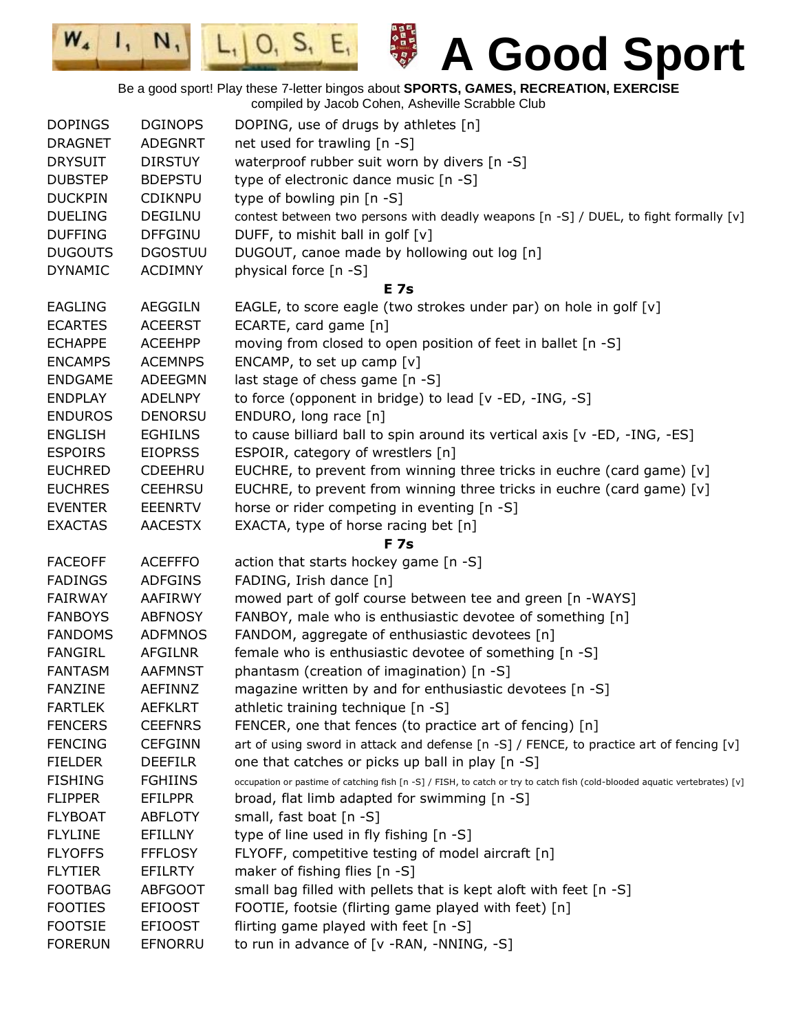$\mathbf{I}_{1}$  $L_1$  | O, S, E, **A Good Sport** Be a good sport! Play these 7-letter bingos about **SPORTS, GAMES, RECREATION, EXERCISE** compiled by Jacob Cohen, Asheville Scrabble Club DOPINGS DGINOPS DOPING, use of drugs by athletes [n] DRAGNET ADEGNRT net used for trawling [n -S] DRYSUIT DIRSTUY waterproof rubber suit worn by divers [n -S] DUBSTEP BDEPSTU type of electronic dance music [n -S] DUCKPIN CDIKNPU type of bowling pin [n -S] DUELING DEGILNU contest between two persons with deadly weapons [n -S] / DUEL, to fight formally [v] DUFFING DFFGINU DUFF, to mishit ball in golf [v] DUGOUTS DGOSTUU DUGOUT, canoe made by hollowing out log [n] DYNAMIC ACDIMNY physical force [n -S] **E 7s** EAGLING AEGGILN EAGLE, to score eagle (two strokes under par) on hole in golf [v] ECARTES ACEERST ECARTE, card game [n] ECHAPPE ACEEHPP moving from closed to open position of feet in ballet [n -S] ENCAMPS ACEMNPS ENCAMP, to set up camp  $[v]$ ENDGAME ADEEGMN last stage of chess game [n -S] ENDPLAY ADELNPY to force (opponent in bridge) to lead [v -ED, -ING, -S] ENDUROS DENORSU ENDURO, long race [n] ENGLISH EGHILNS to cause billiard ball to spin around its vertical axis [v -ED, -ING, -ES] ESPOIRS EIOPRSS ESPOIR, category of wrestlers [n] EUCHRED CDEEHRU EUCHRE, to prevent from winning three tricks in euchre (card game) [v] EUCHRES CEEHRSU EUCHRE, to prevent from winning three tricks in euchre (card game)  $[v]$ EVENTER EEENRTV horse or rider competing in eventing [n -S] EXACTAS AACESTX EXACTA, type of horse racing bet [n] **F 7s** FACEOFF ACEFFFO action that starts hockey game [n -S] FADINGS ADFGINS FADING, Irish dance [n] FAIRWAY AAFIRWY mowed part of golf course between tee and green [n -WAYS] FANBOYS ABFNOSY FANBOY, male who is enthusiastic devotee of something [n] FANDOMS ADFMNOS FANDOM, aggregate of enthusiastic devotees [n] FANGIRL AFGILNR female who is enthusiastic devotee of something [n -S] FANTASM AAFMNST phantasm (creation of imagination) [n -S] FANZINE AEFINNZ magazine written by and for enthusiastic devotees [n -S] FARTLEK AEFKLRT athletic training technique [n -S] FENCERS CEEFNRS FENCER, one that fences (to practice art of fencing) [n] FENCING CEFGINN art of using sword in attack and defense [n -S] / FENCE, to practice art of fencing [v] FIELDER DEEFILR one that catches or picks up ball in play [n -S] FISHING FGHIINS occupation or pastime of catching fish [n -S] / FISH, to catch or try to catch fish (cold-blooded aquatic vertebrates) [v] FLIPPER EFILPPR broad, flat limb adapted for swimming [n -S] FLYBOAT ABFLOTY small, fast boat [n -S] FLYLINE EFILLNY type of line used in fly fishing [n -S] FLYOFFS FFFLOSY FLYOFF, competitive testing of model aircraft [n] FLYTIER EFILRTY maker of fishing flies [n -S] FOOTBAG ABFGOOT small bag filled with pellets that is kept aloft with feet [n -S] FOOTIES EFIOOST FOOTIE, footsie (flirting game played with feet) [n] FOOTSIE EFIOOST flirting game played with feet [n -S]

FORERUN EFNORRU to run in advance of [v -RAN, -NNING, -S]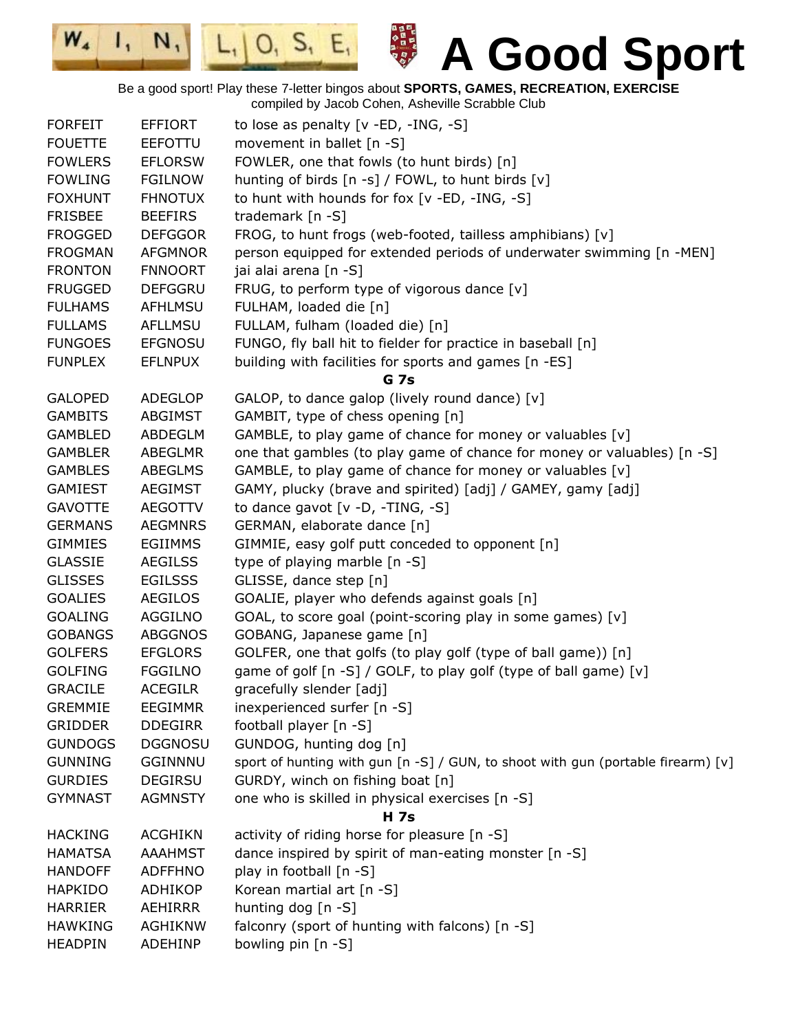$|0, S, E,$  $N,$  $L_{1}$ 

 $\mathbf{I}_{\mathbf{t}}$ 

 $W_4$ 



**A Good Sport**

Be a good sport! Play these 7-letter bingos about **SPORTS, GAMES, RECREATION, EXERCISE** compiled by Jacob Cohen, Asheville Scrabble Club

| <b>FORFEIT</b> | EFFIORT        | to lose as penalty [v -ED, -ING, -S]                                             |
|----------------|----------------|----------------------------------------------------------------------------------|
| <b>FOUETTE</b> | <b>EEFOTTU</b> | movement in ballet [n -S]                                                        |
| <b>FOWLERS</b> | <b>EFLORSW</b> | FOWLER, one that fowls (to hunt birds) [n]                                       |
| <b>FOWLING</b> | <b>FGILNOW</b> | hunting of birds [n -s] / FOWL, to hunt birds [v]                                |
| <b>FOXHUNT</b> | <b>FHNOTUX</b> | to hunt with hounds for fox [v -ED, -ING, -S]                                    |
| <b>FRISBEE</b> | <b>BEEFIRS</b> | trademark [n -S]                                                                 |
| <b>FROGGED</b> | <b>DEFGGOR</b> | FROG, to hunt frogs (web-footed, tailless amphibians) [v]                        |
| <b>FROGMAN</b> | <b>AFGMNOR</b> | person equipped for extended periods of underwater swimming [n -MEN]             |
| <b>FRONTON</b> | <b>FNNOORT</b> | jai alai arena [n -S]                                                            |
| <b>FRUGGED</b> | <b>DEFGGRU</b> | FRUG, to perform type of vigorous dance [v]                                      |
| <b>FULHAMS</b> | <b>AFHLMSU</b> | FULHAM, loaded die [n]                                                           |
| <b>FULLAMS</b> | AFLLMSU        | FULLAM, fulham (loaded die) [n]                                                  |
| <b>FUNGOES</b> | <b>EFGNOSU</b> | FUNGO, fly ball hit to fielder for practice in baseball [n]                      |
| <b>FUNPLEX</b> | <b>EFLNPUX</b> | building with facilities for sports and games [n -ES]                            |
|                |                | G <sub>7s</sub>                                                                  |
| <b>GALOPED</b> | <b>ADEGLOP</b> | GALOP, to dance galop (lively round dance) [v]                                   |
| <b>GAMBITS</b> | ABGIMST        | GAMBIT, type of chess opening [n]                                                |
| <b>GAMBLED</b> | ABDEGLM        | GAMBLE, to play game of chance for money or valuables [v]                        |
| <b>GAMBLER</b> | ABEGLMR        | one that gambles (to play game of chance for money or valuables) [n -S]          |
| <b>GAMBLES</b> | ABEGLMS        | GAMBLE, to play game of chance for money or valuables [v]                        |
| <b>GAMIEST</b> | <b>AEGIMST</b> | GAMY, plucky (brave and spirited) [adj] / GAMEY, gamy [adj]                      |
| <b>GAVOTTE</b> | <b>AEGOTTV</b> | to dance gavot [v -D, -TING, -S]                                                 |
| <b>GERMANS</b> | <b>AEGMNRS</b> | GERMAN, elaborate dance [n]                                                      |
| <b>GIMMIES</b> | <b>EGIIMMS</b> | GIMMIE, easy golf putt conceded to opponent [n]                                  |
| <b>GLASSIE</b> | <b>AEGILSS</b> | type of playing marble [n -S]                                                    |
| <b>GLISSES</b> | <b>EGILSSS</b> | GLISSE, dance step [n]                                                           |
| <b>GOALIES</b> | <b>AEGILOS</b> | GOALIE, player who defends against goals [n]                                     |
| <b>GOALING</b> | AGGILNO        | GOAL, to score goal (point-scoring play in some games) [v]                       |
| <b>GOBANGS</b> | <b>ABGGNOS</b> | GOBANG, Japanese game [n]                                                        |
| <b>GOLFERS</b> | <b>EFGLORS</b> | GOLFER, one that golfs (to play golf (type of ball game)) [n]                    |
| <b>GOLFING</b> | <b>FGGILNO</b> | game of golf [n -S] / GOLF, to play golf (type of ball game) [v]                 |
| <b>GRACILE</b> | <b>ACEGILR</b> | gracefully slender [adj]                                                         |
| <b>GREMMIE</b> | <b>EEGIMMR</b> | inexperienced surfer [n -S]                                                      |
| <b>GRIDDER</b> | <b>DDEGIRR</b> | football player [n -S]                                                           |
| <b>GUNDOGS</b> |                | GUNDOG, hunting dog [n]                                                          |
|                | <b>DGGNOSU</b> |                                                                                  |
| <b>GUNNING</b> | <b>GGINNNU</b> | sport of hunting with gun [n -S] / GUN, to shoot with gun (portable firearm) [v] |
| <b>GURDIES</b> | <b>DEGIRSU</b> | GURDY, winch on fishing boat [n]                                                 |
| <b>GYMNAST</b> | <b>AGMNSTY</b> | one who is skilled in physical exercises [n -S]                                  |
| <b>HACKING</b> | <b>ACGHIKN</b> | <b>H</b> 7s<br>activity of riding horse for pleasure [n -S]                      |
|                |                | dance inspired by spirit of man-eating monster [n -S]                            |
| <b>HAMATSA</b> | <b>AAAHMST</b> |                                                                                  |
| <b>HANDOFF</b> | <b>ADFFHNO</b> | play in football [n -S]                                                          |
| <b>HAPKIDO</b> | ADHIKOP        | Korean martial art [n -S]                                                        |
| <b>HARRIER</b> | AEHIRRR        | hunting dog [n -S]                                                               |
| <b>HAWKING</b> | <b>AGHIKNW</b> | falconry (sport of hunting with falcons) [n -S]                                  |
| <b>HEADPIN</b> | ADEHINP        | bowling pin [n -S]                                                               |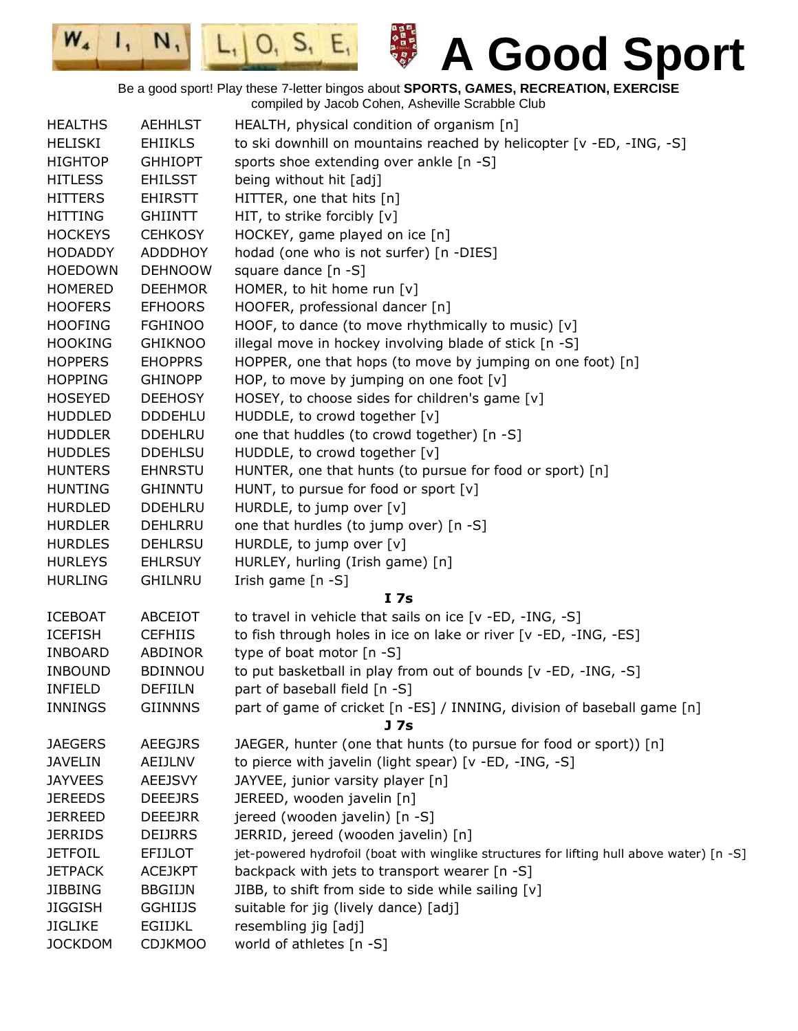$N,$  $L_1|0, S_1|E_1|$ 

 $W_{4}$ 

 $\mathbf{I}_{1}$ 

日本日本 日本語 あかい こうかん あいこう **A Good Sport**

Be a good sport! Play these 7-letter bingos about **SPORTS, GAMES, RECREATION, EXERCISE** compiled by Jacob Cohen, Asheville Scrabble Club

| <b>HEALTHS</b> | <b>AEHHLST</b> | HEALTH, physical condition of organism [n]                                                |
|----------------|----------------|-------------------------------------------------------------------------------------------|
| <b>HELISKI</b> | <b>EHIIKLS</b> | to ski downhill on mountains reached by helicopter [v -ED, -ING, -S]                      |
| <b>HIGHTOP</b> | <b>GHHIOPT</b> | sports shoe extending over ankle [n -S]                                                   |
| <b>HITLESS</b> | <b>EHILSST</b> | being without hit [adj]                                                                   |
| <b>HITTERS</b> | <b>EHIRSTT</b> | HITTER, one that hits [n]                                                                 |
| <b>HITTING</b> | <b>GHIINTT</b> | HIT, to strike forcibly [v]                                                               |
| <b>HOCKEYS</b> | <b>CEHKOSY</b> | HOCKEY, game played on ice [n]                                                            |
| <b>HODADDY</b> | <b>ADDDHOY</b> | hodad (one who is not surfer) [n -DIES]                                                   |
| <b>HOEDOWN</b> | <b>DEHNOOW</b> | square dance $[n -S]$                                                                     |
| <b>HOMERED</b> | <b>DEEHMOR</b> | HOMER, to hit home run [v]                                                                |
| <b>HOOFERS</b> | <b>EFHOORS</b> | HOOFER, professional dancer [n]                                                           |
| <b>HOOFING</b> | <b>FGHINOO</b> | HOOF, to dance (to move rhythmically to music) $[v]$                                      |
| <b>HOOKING</b> | <b>GHIKNOO</b> | illegal move in hockey involving blade of stick [n -S]                                    |
| <b>HOPPERS</b> | <b>EHOPPRS</b> | HOPPER, one that hops (to move by jumping on one foot) [n]                                |
| <b>HOPPING</b> | <b>GHINOPP</b> | HOP, to move by jumping on one foot $[v]$                                                 |
| <b>HOSEYED</b> | <b>DEEHOSY</b> | HOSEY, to choose sides for children's game [v]                                            |
| <b>HUDDLED</b> | <b>DDDEHLU</b> | HUDDLE, to crowd together [v]                                                             |
| <b>HUDDLER</b> | <b>DDEHLRU</b> | one that huddles (to crowd together) [n -S]                                               |
| <b>HUDDLES</b> | <b>DDEHLSU</b> | HUDDLE, to crowd together [v]                                                             |
| <b>HUNTERS</b> | <b>EHNRSTU</b> | HUNTER, one that hunts (to pursue for food or sport) [n]                                  |
| <b>HUNTING</b> | <b>GHINNTU</b> | HUNT, to pursue for food or sport [v]                                                     |
| <b>HURDLED</b> | <b>DDEHLRU</b> | HURDLE, to jump over [v]                                                                  |
| <b>HURDLER</b> | DEHLRRU        | one that hurdles (to jump over) [n -S]                                                    |
| <b>HURDLES</b> | <b>DEHLRSU</b> | HURDLE, to jump over [v]                                                                  |
| <b>HURLEYS</b> | <b>EHLRSUY</b> | HURLEY, hurling (Irish game) [n]                                                          |
| <b>HURLING</b> | <b>GHILNRU</b> | Irish game [n -S]                                                                         |
|                |                | I <sub>7s</sub>                                                                           |
| <b>ICEBOAT</b> | ABCEIOT        | to travel in vehicle that sails on ice [v -ED, -ING, -S]                                  |
| <b>ICEFISH</b> | <b>CEFHIIS</b> | to fish through holes in ice on lake or river [v -ED, -ING, -ES]                          |
| <b>INBOARD</b> | ABDINOR        | type of boat motor [n -S]                                                                 |
| <b>INBOUND</b> | <b>BDINNOU</b> | to put basketball in play from out of bounds [v -ED, -ING, -S]                            |
| <b>INFIELD</b> | <b>DEFIILN</b> | part of baseball field [n -S]                                                             |
| <b>INNINGS</b> | <b>GIINNNS</b> | part of game of cricket [n -ES] / INNING, division of baseball game [n]                   |
|                |                | J 7s                                                                                      |
| <b>JAEGERS</b> | <b>AEEGJRS</b> | JAEGER, hunter (one that hunts (to pursue for food or sport)) [n]                         |
| <b>JAVELIN</b> | AEIJLNV        | to pierce with javelin (light spear) [v -ED, -ING, -S]                                    |
| <b>JAYVEES</b> | <b>AEEJSVY</b> | JAYVEE, junior varsity player [n]                                                         |
| <b>JEREEDS</b> | <b>DEEEJRS</b> | JEREED, wooden javelin [n]                                                                |
| <b>JERREED</b> | <b>DEEEJRR</b> | jereed (wooden javelin) [n -S]                                                            |
| <b>JERRIDS</b> | <b>DEIJRRS</b> | JERRID, jereed (wooden javelin) [n]                                                       |
| <b>JETFOIL</b> | <b>EFIJLOT</b> | jet-powered hydrofoil (boat with winglike structures for lifting hull above water) [n -S] |
| <b>JETPACK</b> | <b>ACEJKPT</b> | backpack with jets to transport wearer [n -S]                                             |
| <b>JIBBING</b> | <b>BBGIIJN</b> | JIBB, to shift from side to side while sailing [v]                                        |
| <b>JIGGISH</b> | <b>GGHIIJS</b> | suitable for jig (lively dance) [adj]                                                     |
| <b>JIGLIKE</b> | <b>EGIIJKL</b> | resembling jig [adj]                                                                      |
| <b>JOCKDOM</b> | <b>CDJKMOO</b> | world of athletes [n -S]                                                                  |
|                |                |                                                                                           |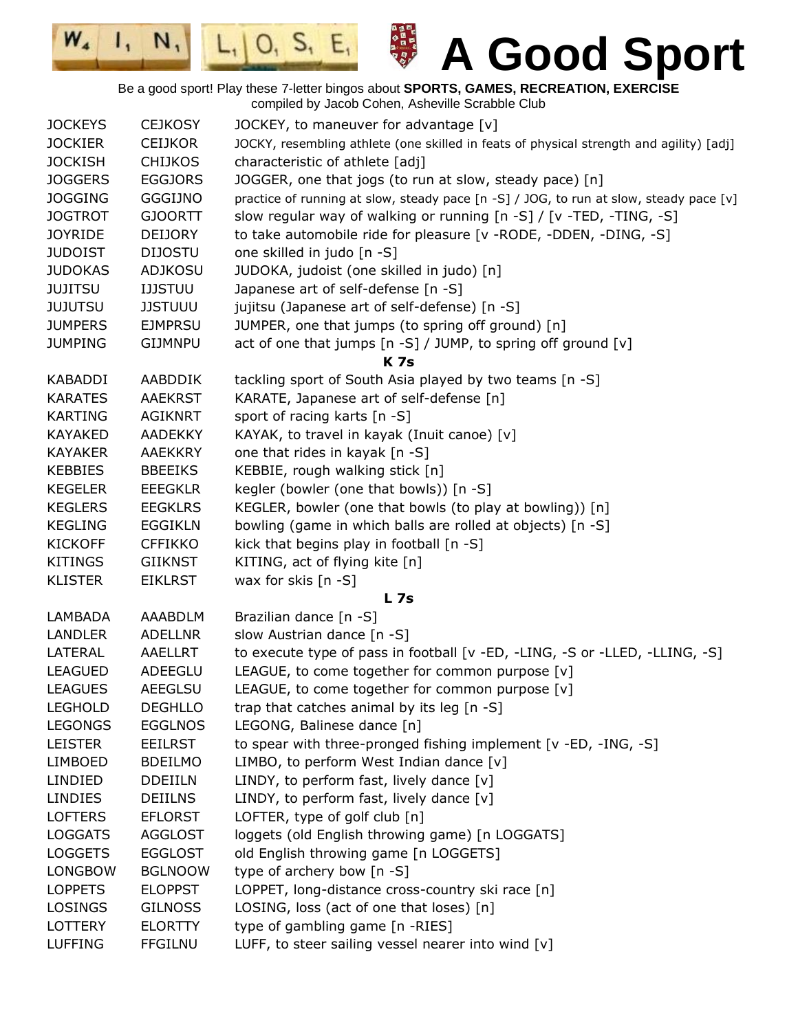$|0, 5, E,$ 

 $W_{4}$ 

 $\mathbf{I}_{1}$ 

 $N,$ 

| <b>JOCKEYS</b> | <b>CEJKOSY</b> | JOCKEY, to maneuver for advantage [v]                                                   |
|----------------|----------------|-----------------------------------------------------------------------------------------|
| <b>JOCKIER</b> | <b>CEIJKOR</b> | JOCKY, resembling athlete (one skilled in feats of physical strength and agility) [adj] |
| <b>JOCKISH</b> | <b>CHIJKOS</b> | characteristic of athlete [adj]                                                         |
| <b>JOGGERS</b> | <b>EGGJORS</b> | JOGGER, one that jogs (to run at slow, steady pace) [n]                                 |
| <b>JOGGING</b> | <b>GGGIJNO</b> | practice of running at slow, steady pace [n -S] / JOG, to run at slow, steady pace [v]  |
| <b>JOGTROT</b> | <b>GJOORTT</b> | slow regular way of walking or running [n -S] / [v -TED, -TING, -S]                     |
| <b>JOYRIDE</b> | <b>DEIJORY</b> | to take automobile ride for pleasure [v - RODE, - DDEN, - DING, - S]                    |
| <b>JUDOIST</b> | <b>DIJOSTU</b> | one skilled in judo [n -S]                                                              |
| <b>JUDOKAS</b> | <b>ADJKOSU</b> | JUDOKA, judoist (one skilled in judo) [n]                                               |
| <b>JUJITSU</b> | <b>IJJSTUU</b> | Japanese art of self-defense [n -S]                                                     |
| <b>JUJUTSU</b> | <b>JJSTUUU</b> | jujitsu (Japanese art of self-defense) [n -S]                                           |
| <b>JUMPERS</b> | <b>EJMPRSU</b> | JUMPER, one that jumps (to spring off ground) [n]                                       |
| <b>JUMPING</b> | GIJMNPU        | act of one that jumps [n -S] / JUMP, to spring off ground [v]                           |
|                |                | <b>K7s</b>                                                                              |
| <b>KABADDI</b> | AABDDIK        | tackling sport of South Asia played by two teams [n -S]                                 |
| <b>KARATES</b> | <b>AAEKRST</b> | KARATE, Japanese art of self-defense [n]                                                |
| <b>KARTING</b> | <b>AGIKNRT</b> | sport of racing karts [n -S]                                                            |
| <b>KAYAKED</b> | <b>AADEKKY</b> | KAYAK, to travel in kayak (Inuit canoe) [v]                                             |
| <b>KAYAKER</b> | <b>AAEKKRY</b> | one that rides in kayak [n -S]                                                          |
| <b>KEBBIES</b> | <b>BBEEIKS</b> | KEBBIE, rough walking stick [n]                                                         |
| <b>KEGELER</b> | <b>EEEGKLR</b> | kegler (bowler (one that bowls)) [n -S]                                                 |
| <b>KEGLERS</b> | <b>EEGKLRS</b> | KEGLER, bowler (one that bowls (to play at bowling)) [n]                                |
| <b>KEGLING</b> | <b>EGGIKLN</b> | bowling (game in which balls are rolled at objects) [n -S]                              |
| <b>KICKOFF</b> | <b>CFFIKKO</b> | kick that begins play in football [n -S]                                                |
| <b>KITINGS</b> | <b>GIIKNST</b> | KITING, act of flying kite [n]                                                          |
| <b>KLISTER</b> | <b>EIKLRST</b> | wax for skis [n -S]                                                                     |
|                |                | <b>L7s</b>                                                                              |
| LAMBADA        | AAABDLM        | Brazilian dance [n -S]                                                                  |
| <b>LANDLER</b> | <b>ADELLNR</b> | slow Austrian dance [n -S]                                                              |
| LATERAL        | AAELLRT        | to execute type of pass in football [v -ED, -LING, -S or -LLED, -LLING, -S]             |
| <b>LEAGUED</b> | ADEEGLU        | LEAGUE, to come together for common purpose [v]                                         |
| <b>LEAGUES</b> | <b>AEEGLSU</b> | LEAGUE, to come together for common purpose [v]                                         |
| <b>LEGHOLD</b> | <b>DEGHLLO</b> | trap that catches animal by its leg [n -S]                                              |
| <b>LEGONGS</b> | <b>EGGLNOS</b> | LEGONG, Balinese dance [n]                                                              |
| <b>LEISTER</b> | <b>EEILRST</b> | to spear with three-pronged fishing implement [v -ED, -ING, -S]                         |
| <b>LIMBOED</b> | <b>BDEILMO</b> | LIMBO, to perform West Indian dance [v]                                                 |
| LINDIED        | <b>DDEIILN</b> | LINDY, to perform fast, lively dance [v]                                                |
| <b>LINDIES</b> | <b>DEIILNS</b> | LINDY, to perform fast, lively dance [v]                                                |
| <b>LOFTERS</b> | <b>EFLORST</b> | LOFTER, type of golf club [n]                                                           |
| <b>LOGGATS</b> | <b>AGGLOST</b> | loggets (old English throwing game) [n LOGGATS]                                         |
| <b>LOGGETS</b> | <b>EGGLOST</b> | old English throwing game [n LOGGETS]                                                   |
| <b>LONGBOW</b> | <b>BGLNOOW</b> | type of archery bow [n -S]                                                              |
| <b>LOPPETS</b> | <b>ELOPPST</b> | LOPPET, long-distance cross-country ski race [n]                                        |
| <b>LOSINGS</b> | <b>GILNOSS</b> | LOSING, loss (act of one that loses) [n]                                                |
| <b>LOTTERY</b> | <b>ELORTTY</b> | type of gambling game [n -RIES]                                                         |
| <b>LUFFING</b> | <b>FFGILNU</b> | LUFF, to steer sailing vessel nearer into wind [v]                                      |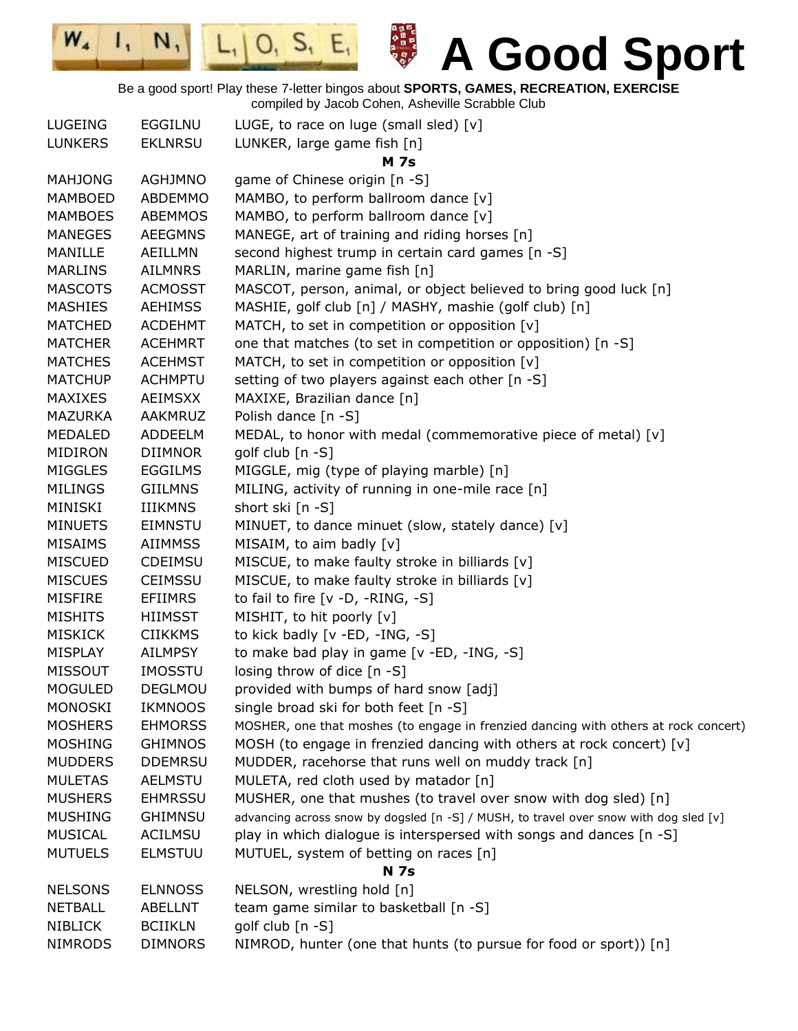日本日本の日本の日本の

 $L_1|0, S_1|E_1|$ 

 $I, N,$ 

 $W_4$ 

| LUGEING        | EGGILNU        | LUGE, to race on luge (small sled) $[v]$                                              |
|----------------|----------------|---------------------------------------------------------------------------------------|
| <b>LUNKERS</b> | <b>EKLNRSU</b> | LUNKER, large game fish [n]                                                           |
|                |                | <b>M</b> 7s                                                                           |
| <b>MAHJONG</b> | <b>AGHJMNO</b> | game of Chinese origin [n -S]                                                         |
| <b>MAMBOED</b> | ABDEMMO        | MAMBO, to perform ballroom dance [v]                                                  |
| <b>MAMBOES</b> | <b>ABEMMOS</b> | MAMBO, to perform ballroom dance [v]                                                  |
| <b>MANEGES</b> | <b>AEEGMNS</b> | MANEGE, art of training and riding horses [n]                                         |
| MANILLE        | AEILLMN        | second highest trump in certain card games [n -S]                                     |
| <b>MARLINS</b> | <b>AILMNRS</b> | MARLIN, marine game fish [n]                                                          |
| <b>MASCOTS</b> | <b>ACMOSST</b> | MASCOT, person, animal, or object believed to bring good luck [n]                     |
| <b>MASHIES</b> | <b>AEHIMSS</b> | MASHIE, golf club [n] / MASHY, mashie (golf club) [n]                                 |
| <b>MATCHED</b> | <b>ACDEHMT</b> | MATCH, to set in competition or opposition [v]                                        |
| <b>MATCHER</b> | <b>ACEHMRT</b> | one that matches (to set in competition or opposition) [n -S]                         |
| <b>MATCHES</b> | <b>ACEHMST</b> | MATCH, to set in competition or opposition [v]                                        |
| <b>MATCHUP</b> | <b>ACHMPTU</b> | setting of two players against each other [n -S]                                      |
| <b>MAXIXES</b> | <b>AEIMSXX</b> | MAXIXE, Brazilian dance [n]                                                           |
| <b>MAZURKA</b> | AAKMRUZ        | Polish dance [n -S]                                                                   |
| <b>MEDALED</b> | ADDEELM        | MEDAL, to honor with medal (commemorative piece of metal) [v]                         |
| <b>MIDIRON</b> | <b>DIIMNOR</b> | golf club $[n -S]$                                                                    |
| <b>MIGGLES</b> | <b>EGGILMS</b> | MIGGLE, mig (type of playing marble) [n]                                              |
| <b>MILINGS</b> | <b>GIILMNS</b> | MILING, activity of running in one-mile race [n]                                      |
| MINISKI        | <b>IIIKMNS</b> | short ski [n -S]                                                                      |
| <b>MINUETS</b> | <b>EIMNSTU</b> | MINUET, to dance minuet (slow, stately dance) [v]                                     |
| <b>MISAIMS</b> | <b>AIIMMSS</b> | MISAIM, to aim badly [v]                                                              |
| <b>MISCUED</b> | <b>CDEIMSU</b> | MISCUE, to make faulty stroke in billiards [v]                                        |
| <b>MISCUES</b> | <b>CEIMSSU</b> | MISCUE, to make faulty stroke in billiards [v]                                        |
| <b>MISFIRE</b> | <b>EFIIMRS</b> | to fail to fire $[v -D, -RING, -S]$                                                   |
| <b>MISHITS</b> | <b>HIIMSST</b> | MISHIT, to hit poorly [v]                                                             |
| <b>MISKICK</b> | <b>CIIKKMS</b> | to kick badly [v -ED, -ING, -S]                                                       |
| MISPLAY        | <b>AILMPSY</b> | to make bad play in game [v -ED, -ING, -S]                                            |
| <b>MISSOUT</b> | <b>IMOSSTU</b> | losing throw of dice [n -S]                                                           |
| <b>MOGULED</b> | DEGLMOU        | provided with bumps of hard snow [adj]                                                |
| <b>MONOSKI</b> | <b>IKMNOOS</b> | single broad ski for both feet [n -S]                                                 |
| <b>MOSHERS</b> | <b>EHMORSS</b> | MOSHER, one that moshes (to engage in frenzied dancing with others at rock concert)   |
| <b>MOSHING</b> | <b>GHIMNOS</b> | MOSH (to engage in frenzied dancing with others at rock concert) [v]                  |
| <b>MUDDERS</b> | <b>DDEMRSU</b> | MUDDER, racehorse that runs well on muddy track [n]                                   |
| <b>MULETAS</b> | <b>AELMSTU</b> | MULETA, red cloth used by matador [n]                                                 |
| <b>MUSHERS</b> | <b>EHMRSSU</b> | MUSHER, one that mushes (to travel over snow with dog sled) [n]                       |
| <b>MUSHING</b> | <b>GHIMNSU</b> | advancing across snow by dogsled [n -S] / MUSH, to travel over snow with dog sled [v] |
| <b>MUSICAL</b> | <b>ACILMSU</b> | play in which dialogue is interspersed with songs and dances [n -S]                   |
| <b>MUTUELS</b> | <b>ELMSTUU</b> | MUTUEL, system of betting on races [n]                                                |
|                |                | <b>N</b> 7s                                                                           |
| <b>NELSONS</b> | <b>ELNNOSS</b> | NELSON, wrestling hold [n]                                                            |
| <b>NETBALL</b> | ABELLNT        | team game similar to basketball [n -S]                                                |
| <b>NIBLICK</b> | <b>BCIIKLN</b> | golf club [n -S]                                                                      |
| <b>NIMRODS</b> | <b>DIMNORS</b> | NIMROD, hunter (one that hunts (to pursue for food or sport)) [n]                     |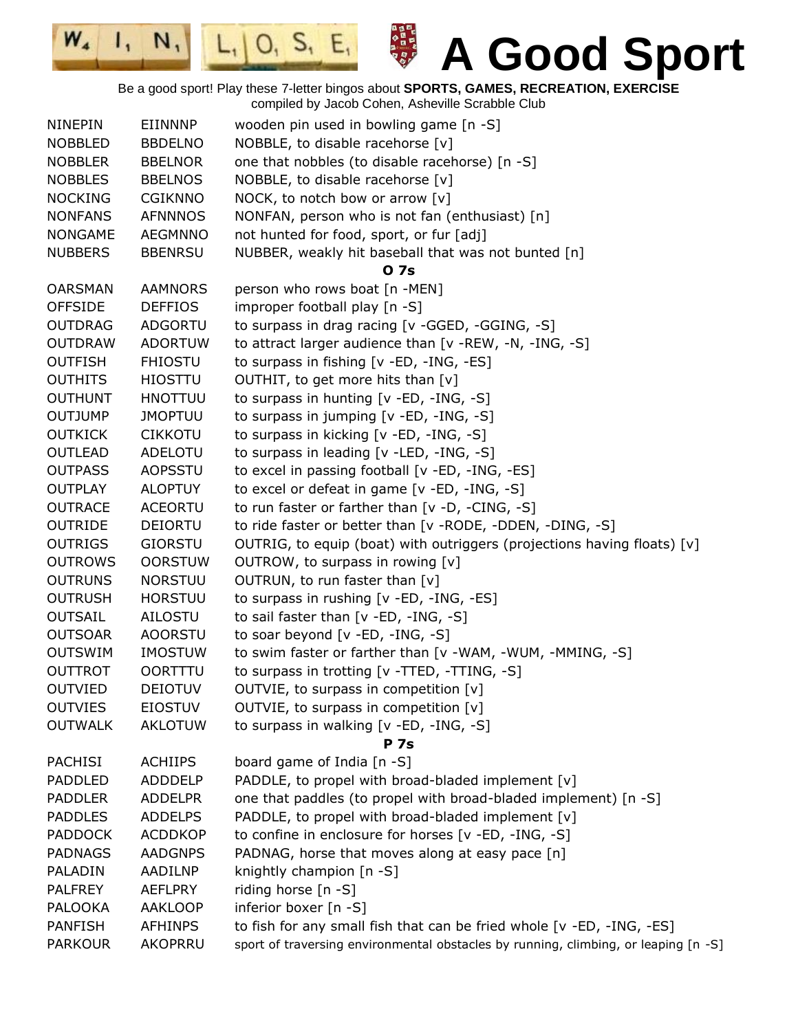日本日本の日本の日本の

 $L_1|0, S_1|E_1$ 

 $W_{4}$ 

 $\mathbf{I}_1$ 

N,

| <b>NINEPIN</b>                   | EIINNNP                          | wooden pin used in bowling game [n -S]                                              |
|----------------------------------|----------------------------------|-------------------------------------------------------------------------------------|
| <b>NOBBLED</b>                   | <b>BBDELNO</b>                   | NOBBLE, to disable racehorse [v]                                                    |
| <b>NOBBLER</b>                   | <b>BBELNOR</b>                   | one that nobbles (to disable racehorse) [n -S]                                      |
| <b>NOBBLES</b>                   | <b>BBELNOS</b>                   | NOBBLE, to disable racehorse [v]                                                    |
| <b>NOCKING</b>                   | <b>CGIKNNO</b>                   | NOCK, to notch bow or arrow [v]                                                     |
| <b>NONFANS</b>                   | <b>AFNNNOS</b>                   | NONFAN, person who is not fan (enthusiast) [n]                                      |
| <b>NONGAME</b>                   | AEGMNNO                          | not hunted for food, sport, or fur [adj]                                            |
| <b>NUBBERS</b>                   | <b>BBENRSU</b>                   | NUBBER, weakly hit baseball that was not bunted [n]                                 |
|                                  |                                  | <b>07s</b>                                                                          |
| <b>OARSMAN</b>                   | <b>AAMNORS</b>                   | person who rows boat [n -MEN]                                                       |
| <b>OFFSIDE</b>                   | <b>DEFFIOS</b>                   | improper football play [n -S]                                                       |
| <b>OUTDRAG</b>                   | <b>ADGORTU</b>                   | to surpass in drag racing [v -GGED, -GGING, -S]                                     |
| <b>OUTDRAW</b>                   | <b>ADORTUW</b>                   | to attract larger audience than [v -REW, -N, -ING, -S]                              |
| <b>OUTFISH</b>                   | <b>FHIOSTU</b>                   | to surpass in fishing [v -ED, -ING, -ES]                                            |
| <b>OUTHITS</b>                   | <b>HIOSTTU</b>                   | OUTHIT, to get more hits than [v]                                                   |
| <b>OUTHUNT</b>                   | <b>HNOTTUU</b>                   | to surpass in hunting [v -ED, -ING, -S]                                             |
| <b>OUTJUMP</b>                   | <b>JMOPTUU</b>                   | to surpass in jumping [v -ED, -ING, -S]                                             |
| <b>OUTKICK</b>                   | <b>CIKKOTU</b>                   | to surpass in kicking [v -ED, -ING, -S]                                             |
| <b>OUTLEAD</b>                   | ADELOTU                          | to surpass in leading [v -LED, -ING, -S]                                            |
| <b>OUTPASS</b>                   | <b>AOPSSTU</b>                   | to excel in passing football [v -ED, -ING, -ES]                                     |
| <b>OUTPLAY</b>                   | <b>ALOPTUY</b>                   | to excel or defeat in game [v -ED, -ING, -S]                                        |
| <b>OUTRACE</b>                   | <b>ACEORTU</b>                   | to run faster or farther than [v -D, -CING, -S]                                     |
| <b>OUTRIDE</b>                   | <b>DEIORTU</b>                   | to ride faster or better than [v -RODE, -DDEN, -DING, -S]                           |
| <b>OUTRIGS</b>                   | <b>GIORSTU</b>                   | OUTRIG, to equip (boat) with outriggers (projections having floats) [v]             |
| <b>OUTROWS</b>                   |                                  |                                                                                     |
| <b>OUTRUNS</b>                   | <b>OORSTUW</b><br><b>NORSTUU</b> | OUTROW, to surpass in rowing [v]<br>OUTRUN, to run faster than [v]                  |
| <b>OUTRUSH</b>                   | <b>HORSTUU</b>                   | to surpass in rushing [v -ED, -ING, -ES]                                            |
| <b>OUTSAIL</b>                   | <b>AILOSTU</b>                   | to sail faster than [v -ED, -ING, -S]                                               |
| <b>OUTSOAR</b>                   |                                  |                                                                                     |
|                                  | <b>AOORSTU</b><br><b>IMOSTUW</b> | to soar beyond [v -ED, -ING, -S]                                                    |
| <b>OUTSWIM</b>                   |                                  | to swim faster or farther than [v -WAM, -WUM, -MMING, -S]                           |
| <b>OUTTROT</b><br><b>OUTVIED</b> | <b>OORTTTU</b>                   | to surpass in trotting [v -TTED, -TTING, -S]                                        |
|                                  | <b>DEIOTUV</b>                   | OUTVIE, to surpass in competition [v]                                               |
| <b>OUTVIES</b>                   | <b>EIOSTUV</b>                   | OUTVIE, to surpass in competition [v]                                               |
| <b>OUTWALK</b>                   | <b>AKLOTUW</b>                   | to surpass in walking [v -ED, -ING, -S]<br><b>P</b> 7s                              |
| <b>PACHISI</b>                   | <b>ACHIIPS</b>                   | board game of India [n -S]                                                          |
| PADDLED                          |                                  |                                                                                     |
|                                  | <b>ADDDELP</b>                   | PADDLE, to propel with broad-bladed implement [v]                                   |
| <b>PADDLER</b>                   | <b>ADDELPR</b>                   | one that paddles (to propel with broad-bladed implement) [n -S]                     |
| <b>PADDLES</b>                   | <b>ADDELPS</b>                   | PADDLE, to propel with broad-bladed implement [v]                                   |
| <b>PADDOCK</b>                   | <b>ACDDKOP</b>                   | to confine in enclosure for horses [v -ED, -ING, -S]                                |
| <b>PADNAGS</b>                   | <b>AADGNPS</b>                   | PADNAG, horse that moves along at easy pace [n]                                     |
| PALADIN                          | AADILNP                          | knightly champion [n -S]                                                            |
| <b>PALFREY</b>                   | <b>AEFLPRY</b>                   | riding horse [n -S]                                                                 |
| PALOOKA                          | <b>AAKLOOP</b>                   | inferior boxer [n -S]                                                               |
| <b>PANFISH</b>                   | <b>AFHINPS</b>                   | to fish for any small fish that can be fried whole [v -ED, -ING, -ES]               |
| <b>PARKOUR</b>                   | AKOPRRU                          | sport of traversing environmental obstacles by running, climbing, or leaping [n -S] |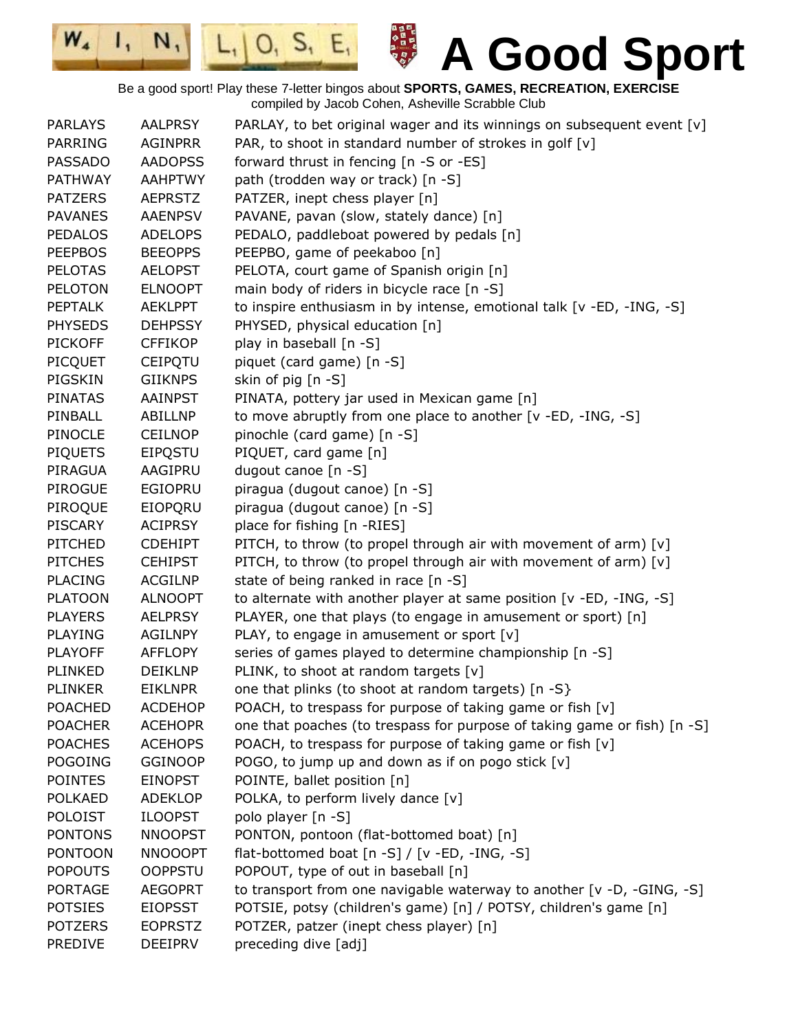日本日本の日本の

 $|0, 5, E,$ 

 $W_{4}$ 

 $\mathbf{I}_{1}$ 

 $N,$ 

| <b>PARLAYS</b> | <b>AALPRSY</b> | PARLAY, to bet original wager and its winnings on subsequent event [v]   |
|----------------|----------------|--------------------------------------------------------------------------|
| <b>PARRING</b> | <b>AGINPRR</b> | PAR, to shoot in standard number of strokes in golf [v]                  |
| <b>PASSADO</b> | <b>AADOPSS</b> | forward thrust in fencing [n -S or -ES]                                  |
| <b>PATHWAY</b> | <b>AAHPTWY</b> | path (trodden way or track) [n -S]                                       |
| <b>PATZERS</b> | <b>AEPRSTZ</b> | PATZER, inept chess player [n]                                           |
| <b>PAVANES</b> | <b>AAENPSV</b> | PAVANE, pavan (slow, stately dance) [n]                                  |
| <b>PEDALOS</b> | <b>ADELOPS</b> | PEDALO, paddleboat powered by pedals [n]                                 |
| <b>PEEPBOS</b> | <b>BEEOPPS</b> | PEEPBO, game of peekaboo [n]                                             |
| <b>PELOTAS</b> | <b>AELOPST</b> | PELOTA, court game of Spanish origin [n]                                 |
| <b>PELOTON</b> | <b>ELNOOPT</b> | main body of riders in bicycle race [n -S]                               |
| <b>PEPTALK</b> | <b>AEKLPPT</b> | to inspire enthusiasm in by intense, emotional talk [v -ED, -ING, -S]    |
| <b>PHYSEDS</b> | <b>DEHPSSY</b> | PHYSED, physical education [n]                                           |
| <b>PICKOFF</b> | <b>CFFIKOP</b> | play in baseball [n -S]                                                  |
| PICQUET        | <b>CEIPQTU</b> | piquet (card game) [n -S]                                                |
| PIGSKIN        | <b>GIIKNPS</b> | skin of pig [n -S]                                                       |
| <b>PINATAS</b> | <b>AAINPST</b> | PINATA, pottery jar used in Mexican game [n]                             |
| PINBALL        | ABILLNP        | to move abruptly from one place to another [v -ED, -ING, -S]             |
| PINOCLE        | <b>CEILNOP</b> | pinochle (card game) [n -S]                                              |
| <b>PIQUETS</b> | <b>EIPOSTU</b> | PIQUET, card game [n]                                                    |
| PIRAGUA        | AAGIPRU        | dugout canoe $[n -S]$                                                    |
| <b>PIROGUE</b> | EGIOPRU        | piragua (dugout canoe) [n -S]                                            |
| PIROQUE        | EIOPQRU        | piragua (dugout canoe) [n -S]                                            |
| <b>PISCARY</b> | <b>ACIPRSY</b> | place for fishing [n -RIES]                                              |
| <b>PITCHED</b> | <b>CDEHIPT</b> | PITCH, to throw (to propel through air with movement of arm) [v]         |
| <b>PITCHES</b> | <b>CEHIPST</b> | PITCH, to throw (to propel through air with movement of arm) [v]         |
| <b>PLACING</b> | <b>ACGILNP</b> | state of being ranked in race [n -S]                                     |
| <b>PLATOON</b> | <b>ALNOOPT</b> | to alternate with another player at same position [v -ED, -ING, -S]      |
| <b>PLAYERS</b> | <b>AELPRSY</b> | PLAYER, one that plays (to engage in amusement or sport) [n]             |
| <b>PLAYING</b> | <b>AGILNPY</b> | PLAY, to engage in amusement or sport [v]                                |
| <b>PLAYOFF</b> | <b>AFFLOPY</b> | series of games played to determine championship [n -S]                  |
| <b>PLINKED</b> | <b>DEIKLNP</b> | PLINK, to shoot at random targets [v]                                    |
| <b>PLINKER</b> | <b>EIKLNPR</b> | one that plinks (to shoot at random targets) [n -S}                      |
| <b>POACHED</b> | <b>ACDEHOP</b> | POACH, to trespass for purpose of taking game or fish [v]                |
| <b>POACHER</b> | <b>ACEHOPR</b> | one that poaches (to trespass for purpose of taking game or fish) [n -S] |
| <b>POACHES</b> | <b>ACEHOPS</b> | POACH, to trespass for purpose of taking game or fish [v]                |
| POGOING        | <b>GGINOOP</b> | POGO, to jump up and down as if on pogo stick [v]                        |
| <b>POINTES</b> | <b>EINOPST</b> | POINTE, ballet position [n]                                              |
| <b>POLKAED</b> | <b>ADEKLOP</b> | POLKA, to perform lively dance [v]                                       |
| <b>POLOIST</b> | <b>ILOOPST</b> | polo player [n -S]                                                       |
| <b>PONTONS</b> | <b>NNOOPST</b> | PONTON, pontoon (flat-bottomed boat) [n]                                 |
| <b>PONTOON</b> | <b>NNOOOPT</b> | flat-bottomed boat [n -S] / [v -ED, -ING, -S]                            |
| <b>POPOUTS</b> | <b>OOPPSTU</b> | POPOUT, type of out in baseball [n]                                      |
| <b>PORTAGE</b> | <b>AEGOPRT</b> | to transport from one navigable waterway to another [v -D, -GING, -S]    |
| <b>POTSIES</b> | <b>EIOPSST</b> | POTSIE, potsy (children's game) [n] / POTSY, children's game [n]         |
| <b>POTZERS</b> | <b>EOPRSTZ</b> | POTZER, patzer (inept chess player) [n]                                  |
| PREDIVE        | <b>DEEIPRV</b> | preceding dive [adj]                                                     |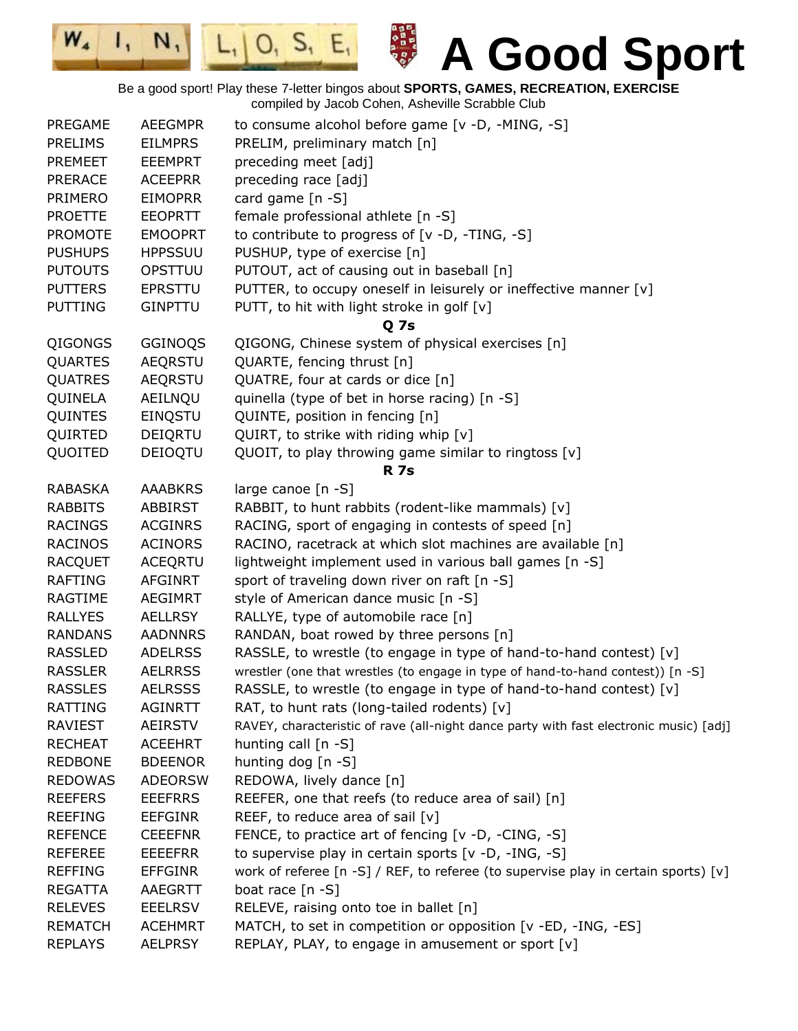$L_1|0, S_1 E_1$ **A Good Sport** Be a good sport! Play these 7-letter bingos about **SPORTS, GAMES, RECREATION, EXERCISE** compiled by Jacob Cohen, Asheville Scrabble Club PREGAME AEEGMPR to consume alcohol before game [v -D, -MING, -S] PRELIMS EILMPRS PRELIM, preliminary match [n] PREMEET EEEMPRT preceding meet [adj] PRERACE ACEEPRR preceding race [adj] PRIMERO EIMOPRR card game [n -S] PROETTE EEOPRTT female professional athlete [n -S] PROMOTE EMOOPRT to contribute to progress of [v -D, -TING, -S] PUSHUPS HPPSSUU PUSHUP, type of exercise [n] PUTOUTS OPSTTUU PUTOUT, act of causing out in baseball [n] PUTTERS EPRSTTU PUTTER, to occupy oneself in leisurely or ineffective manner [v] PUTTING GINPTTU PUTT, to hit with light stroke in golf [v] **Q 7s** QIGONGS GGINOQS QIGONG, Chinese system of physical exercises [n] QUARTES AEQRSTU QUARTE, fencing thrust [n] QUATRES AEQRSTU QUATRE, four at cards or dice [n] QUINELA AEILNQU quinella (type of bet in horse racing) [n -S] QUINTES EINQSTU QUINTE, position in fencing [n] QUIRTED DEIQRTU QUIRT, to strike with riding whip [v] QUOITED DEIOQTU QUOIT, to play throwing game similar to ringtoss  $[v]$ **R 7s** RABASKA AAABKRS large canoe [n -S] RABBITS ABBIRST RABBIT, to hunt rabbits (rodent-like mammals) [v] RACINGS ACGINRS RACING, sport of engaging in contests of speed [n] RACINOS ACINORS RACINO, racetrack at which slot machines are available [n] RACQUET ACEQRTU lightweight implement used in various ball games [n -S] RAFTING AFGINRT sport of traveling down river on raft [n -S] RAGTIME AEGIMRT style of American dance music [n -S] RALLYES AELLRSY RALLYE, type of automobile race [n] RANDANS AADNNRS RANDAN, boat rowed by three persons [n] RASSLED ADELRSS RASSLE, to wrestle (to engage in type of hand-to-hand contest)  $[v]$ RASSLER AELRRSS wrestler (one that wrestles (to engage in type of hand-to-hand contest)) [n -S] RASSLES AELRSSS RASSLE, to wrestle (to engage in type of hand-to-hand contest) [v] RATTING AGINRTT RAT, to hunt rats (long-tailed rodents) [v] RAVIEST AEIRSTV RAVEY, characteristic of rave (all-night dance party with fast electronic music) [adj] RECHEAT ACEEHRT hunting call [n -S] REDBONE BDEENOR hunting dog [n -S] REDOWAS ADEORSW REDOWA, lively dance [n] REEFERS EEEFRRS REEFER, one that reefs (to reduce area of sail) [n]

REEFING EEFGINR REEF, to reduce area of sail [v]

RELEVES EEELRSV RELEVE, raising onto toe in ballet [n]

REGATTA AAEGRTT boat race [n -S]

REFENCE CEEEFNR FENCE, to practice art of fencing [v -D, -CING, -S] REFEREE EEEFRR to supervise play in certain sports [v -D, -ING, -S]

REPLAYS AELPRSY REPLAY, PLAY, to engage in amusement or sport [v]

REFFING EFFGINR work of referee [n -S] / REF, to referee (to supervise play in certain sports) [v]

REMATCH ACEHMRT MATCH, to set in competition or opposition [v -ED, -ING, -ES]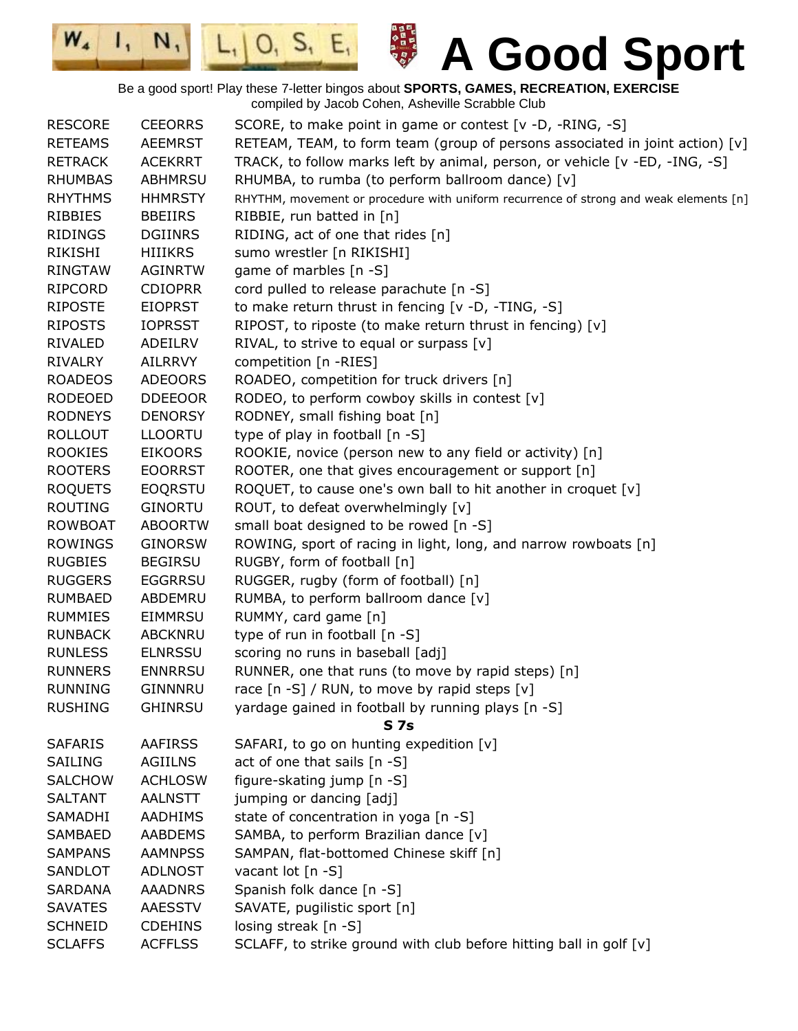

 $W_{4}$ 

 $\mathbf{I}_{1}$ 



**A Good Sport**

Be a good sport! Play these 7-letter bingos about **SPORTS, GAMES, RECREATION, EXERCISE** compiled by Jacob Cohen, Asheville Scrabble Club

| <b>RESCORE</b> | <b>CEEORRS</b> | SCORE, to make point in game or contest [v -D, -RING, -S]                             |
|----------------|----------------|---------------------------------------------------------------------------------------|
| <b>RETEAMS</b> | <b>AEEMRST</b> | RETEAM, TEAM, to form team (group of persons associated in joint action) [v]          |
| <b>RETRACK</b> | <b>ACEKRRT</b> | TRACK, to follow marks left by animal, person, or vehicle [v -ED, -ING, -S]           |
| <b>RHUMBAS</b> | <b>ABHMRSU</b> | RHUMBA, to rumba (to perform ballroom dance) [v]                                      |
| <b>RHYTHMS</b> | <b>HHMRSTY</b> | RHYTHM, movement or procedure with uniform recurrence of strong and weak elements [n] |
| <b>RIBBIES</b> | <b>BBEIIRS</b> | RIBBIE, run batted in [n]                                                             |
| <b>RIDINGS</b> | <b>DGIINRS</b> | RIDING, act of one that rides [n]                                                     |
| RIKISHI        | <b>HIIIKRS</b> | sumo wrestler [n RIKISHI]                                                             |
| <b>RINGTAW</b> | <b>AGINRTW</b> | game of marbles [n -S]                                                                |
| RIPCORD        | <b>CDIOPRR</b> | cord pulled to release parachute [n -S]                                               |
| <b>RIPOSTE</b> | <b>EIOPRST</b> | to make return thrust in fencing $[v -D, -TING, -S]$                                  |
| <b>RIPOSTS</b> | <b>IOPRSST</b> | RIPOST, to riposte (to make return thrust in fencing) [v]                             |
| RIVALED        | ADEILRV        | RIVAL, to strive to equal or surpass [v]                                              |
| <b>RIVALRY</b> | AILRRVY        | competition [n -RIES]                                                                 |
| <b>ROADEOS</b> | <b>ADEOORS</b> | ROADEO, competition for truck drivers [n]                                             |
| <b>RODEOED</b> | <b>DDEEOOR</b> | RODEO, to perform cowboy skills in contest [v]                                        |
| <b>RODNEYS</b> | <b>DENORSY</b> | RODNEY, small fishing boat [n]                                                        |
| <b>ROLLOUT</b> | <b>LLOORTU</b> | type of play in football [n -S]                                                       |
| <b>ROOKIES</b> | <b>EIKOORS</b> | ROOKIE, novice (person new to any field or activity) [n]                              |
| <b>ROOTERS</b> | <b>EOORRST</b> | ROOTER, one that gives encouragement or support [n]                                   |
| <b>ROQUETS</b> | <b>EOQRSTU</b> | ROQUET, to cause one's own ball to hit another in croquet [v]                         |
| <b>ROUTING</b> | <b>GINORTU</b> | ROUT, to defeat overwhelmingly [v]                                                    |
| <b>ROWBOAT</b> | <b>ABOORTW</b> | small boat designed to be rowed [n -S]                                                |
| <b>ROWINGS</b> | <b>GINORSW</b> | ROWING, sport of racing in light, long, and narrow rowboats [n]                       |
| <b>RUGBIES</b> | <b>BEGIRSU</b> | RUGBY, form of football [n]                                                           |
| <b>RUGGERS</b> | <b>EGGRRSU</b> | RUGGER, rugby (form of football) [n]                                                  |
| <b>RUMBAED</b> | ABDEMRU        | RUMBA, to perform ballroom dance [v]                                                  |
| <b>RUMMIES</b> | EIMMRSU        | RUMMY, card game [n]                                                                  |
| <b>RUNBACK</b> | <b>ABCKNRU</b> | type of run in football [n -S]                                                        |
| <b>RUNLESS</b> | <b>ELNRSSU</b> | scoring no runs in baseball [adj]                                                     |
| <b>RUNNERS</b> | <b>ENNRRSU</b> | RUNNER, one that runs (to move by rapid steps) [n]                                    |
| <b>RUNNING</b> | GINNNRU        | race [n -S] / RUN, to move by rapid steps [v]                                         |
| <b>RUSHING</b> | <b>GHINRSU</b> | yardage gained in football by running plays [n -S]                                    |
|                |                | <b>S7s</b>                                                                            |
| <b>SAFARIS</b> | <b>AAFIRSS</b> | SAFARI, to go on hunting expedition [v]                                               |
| <b>SAILING</b> | <b>AGIILNS</b> | act of one that sails [n -S]                                                          |
| <b>SALCHOW</b> | <b>ACHLOSW</b> | figure-skating jump [n -S]                                                            |
| <b>SALTANT</b> | <b>AALNSTT</b> | jumping or dancing [adj]                                                              |
| <b>SAMADHI</b> | <b>AADHIMS</b> | state of concentration in yoga [n -S]                                                 |
| <b>SAMBAED</b> | <b>AABDEMS</b> | SAMBA, to perform Brazilian dance [v]                                                 |
| <b>SAMPANS</b> | <b>AAMNPSS</b> | SAMPAN, flat-bottomed Chinese skiff [n]                                               |
| SANDLOT        | <b>ADLNOST</b> | vacant lot [n -S]                                                                     |
| <b>SARDANA</b> | <b>AAADNRS</b> | Spanish folk dance [n -S]                                                             |
| <b>SAVATES</b> | AAESSTV        | SAVATE, pugilistic sport [n]                                                          |
| <b>SCHNEID</b> | <b>CDEHINS</b> | losing streak $[n - S]$                                                               |
| <b>SCLAFFS</b> | <b>ACFFLSS</b> | SCLAFF, to strike ground with club before hitting ball in golf [v]                    |
|                |                |                                                                                       |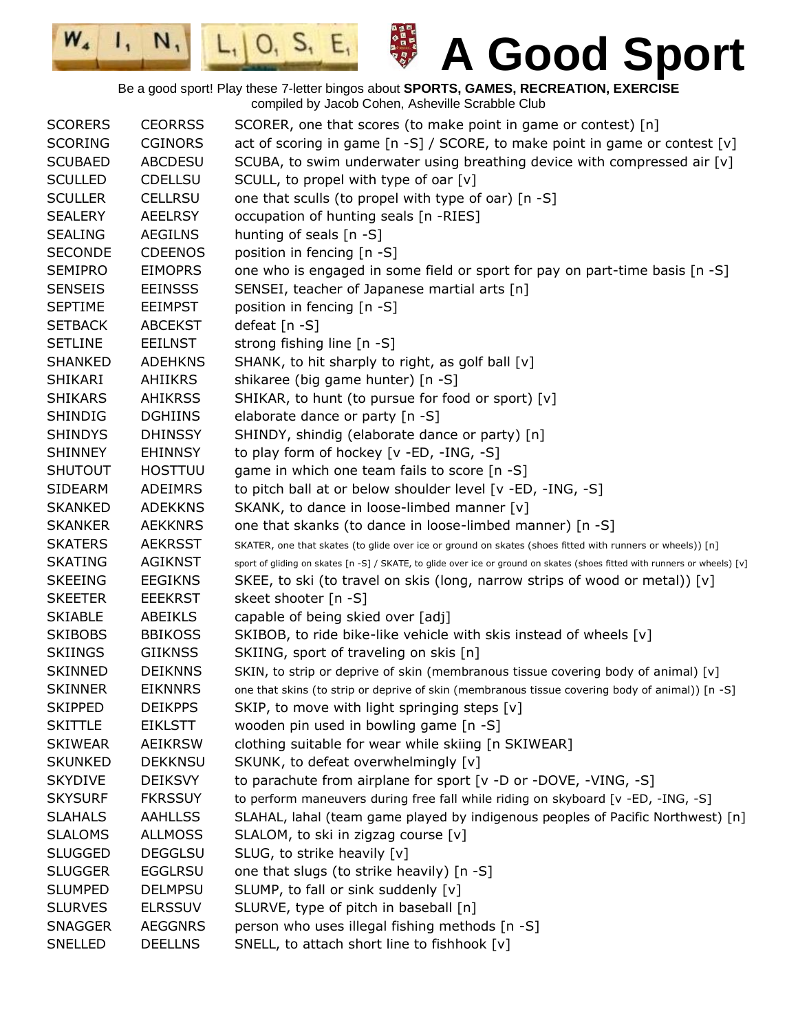日本日本の日本の

 $|0, 5, E,$ 

 $W_{4}$ 

 $\mathbf{I}_{1}$ 

 $N,$ 

| <b>SCORERS</b> | <b>CEORRSS</b> | SCORER, one that scores (to make point in game or contest) [n]                                                             |
|----------------|----------------|----------------------------------------------------------------------------------------------------------------------------|
| <b>SCORING</b> | <b>CGINORS</b> | act of scoring in game [n -S] / SCORE, to make point in game or contest [v]                                                |
| <b>SCUBAED</b> | <b>ABCDESU</b> | SCUBA, to swim underwater using breathing device with compressed air $[v]$                                                 |
| <b>SCULLED</b> | <b>CDELLSU</b> | SCULL, to propel with type of oar $[v]$                                                                                    |
| <b>SCULLER</b> | <b>CELLRSU</b> | one that sculls (to propel with type of oar) [n -S]                                                                        |
| <b>SEALERY</b> | <b>AEELRSY</b> | occupation of hunting seals [n -RIES]                                                                                      |
| <b>SEALING</b> | <b>AEGILNS</b> | hunting of seals [n -S]                                                                                                    |
| <b>SECONDE</b> | <b>CDEENOS</b> | position in fencing [n -S]                                                                                                 |
| <b>SEMIPRO</b> | <b>EIMOPRS</b> | one who is engaged in some field or sport for pay on part-time basis [n -S]                                                |
| <b>SENSEIS</b> | <b>EEINSSS</b> | SENSEI, teacher of Japanese martial arts [n]                                                                               |
| <b>SEPTIME</b> | <b>EEIMPST</b> | position in fencing [n -S]                                                                                                 |
| <b>SETBACK</b> | <b>ABCEKST</b> | defeat [n -S]                                                                                                              |
| <b>SETLINE</b> | <b>EEILNST</b> | strong fishing line [n -S]                                                                                                 |
| <b>SHANKED</b> | <b>ADEHKNS</b> | SHANK, to hit sharply to right, as golf ball [v]                                                                           |
| <b>SHIKARI</b> | AHIIKRS        | shikaree (big game hunter) [n -S]                                                                                          |
| <b>SHIKARS</b> | <b>AHIKRSS</b> | SHIKAR, to hunt (to pursue for food or sport) [v]                                                                          |
| <b>SHINDIG</b> | <b>DGHIINS</b> | elaborate dance or party [n -S]                                                                                            |
| <b>SHINDYS</b> | <b>DHINSSY</b> | SHINDY, shindig (elaborate dance or party) [n]                                                                             |
| <b>SHINNEY</b> | <b>EHINNSY</b> | to play form of hockey [v -ED, -ING, -S]                                                                                   |
| <b>SHUTOUT</b> | <b>HOSTTUU</b> | game in which one team fails to score [n -S]                                                                               |
| <b>SIDEARM</b> | <b>ADEIMRS</b> | to pitch ball at or below shoulder level [v -ED, -ING, -S]                                                                 |
| <b>SKANKED</b> | <b>ADEKKNS</b> | SKANK, to dance in loose-limbed manner [v]                                                                                 |
| <b>SKANKER</b> | <b>AEKKNRS</b> | one that skanks (to dance in loose-limbed manner) [n -S]                                                                   |
| <b>SKATERS</b> | <b>AEKRSST</b> | SKATER, one that skates (to glide over ice or ground on skates (shoes fitted with runners or wheels)) [n]                  |
| <b>SKATING</b> | <b>AGIKNST</b> | sport of gliding on skates [n -S] / SKATE, to glide over ice or ground on skates (shoes fitted with runners or wheels) [v] |
| <b>SKEEING</b> | <b>EEGIKNS</b> | SKEE, to ski (to travel on skis (long, narrow strips of wood or metal)) [v]                                                |
| <b>SKEETER</b> | <b>EEEKRST</b> | skeet shooter [n -S]                                                                                                       |
| <b>SKIABLE</b> | <b>ABEIKLS</b> | capable of being skied over [adj]                                                                                          |
| <b>SKIBOBS</b> | <b>BBIKOSS</b> | SKIBOB, to ride bike-like vehicle with skis instead of wheels [v]                                                          |
| <b>SKIINGS</b> | <b>GIIKNSS</b> | SKIING, sport of traveling on skis [n]                                                                                     |
| <b>SKINNED</b> | <b>DEIKNNS</b> | SKIN, to strip or deprive of skin (membranous tissue covering body of animal) [v]                                          |
| <b>SKINNER</b> | <b>EIKNNRS</b> | one that skins (to strip or deprive of skin (membranous tissue covering body of animal)) [n -S]                            |
| <b>SKIPPED</b> | <b>DEIKPPS</b> | SKIP, to move with light springing steps [v]                                                                               |
| <b>SKITTLE</b> | <b>EIKLSTT</b> | wooden pin used in bowling game [n -S]                                                                                     |
| <b>SKIWEAR</b> | <b>AEIKRSW</b> | clothing suitable for wear while skiing [n SKIWEAR]                                                                        |
| <b>SKUNKED</b> | <b>DEKKNSU</b> | SKUNK, to defeat overwhelmingly [v]                                                                                        |
| <b>SKYDIVE</b> | <b>DEIKSVY</b> | to parachute from airplane for sport [v -D or -DOVE, -VING, -S]                                                            |
| <b>SKYSURF</b> | <b>FKRSSUY</b> | to perform maneuvers during free fall while riding on skyboard [v -ED, -ING, -S]                                           |
| <b>SLAHALS</b> | <b>AAHLLSS</b> | SLAHAL, lahal (team game played by indigenous peoples of Pacific Northwest) [n]                                            |
| <b>SLALOMS</b> | <b>ALLMOSS</b> | SLALOM, to ski in zigzag course [v]                                                                                        |
| <b>SLUGGED</b> | <b>DEGGLSU</b> | SLUG, to strike heavily [v]                                                                                                |
| <b>SLUGGER</b> | <b>EGGLRSU</b> | one that slugs (to strike heavily) [n -S]                                                                                  |
| <b>SLUMPED</b> | <b>DELMPSU</b> | SLUMP, to fall or sink suddenly [v]                                                                                        |
| <b>SLURVES</b> | <b>ELRSSUV</b> | SLURVE, type of pitch in baseball [n]                                                                                      |
| <b>SNAGGER</b> | <b>AEGGNRS</b> | person who uses illegal fishing methods [n -S]                                                                             |
| SNELLED        | <b>DEELLNS</b> | SNELL, to attach short line to fishhook [v]                                                                                |
|                |                |                                                                                                                            |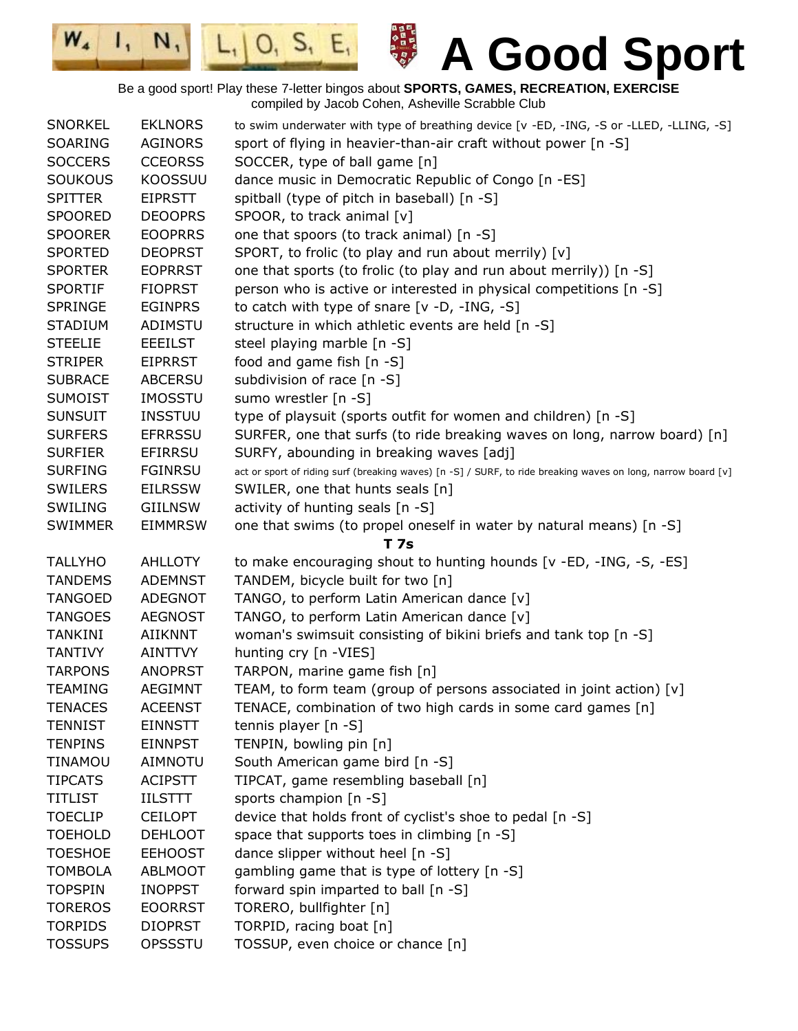日本日本の日本の

 $|0, 5, E,$ 

 $W_{4}$ 

 $\mathbf{I}_{1}$ 

 $N,$ 

| <b>SNORKEL</b> | <b>EKLNORS</b> | to swim underwater with type of breathing device [v -ED, -ING, -S or -LLED, -LLING, -S]                      |
|----------------|----------------|--------------------------------------------------------------------------------------------------------------|
| SOARING        | <b>AGINORS</b> | sport of flying in heavier-than-air craft without power [n -S]                                               |
| <b>SOCCERS</b> | <b>CCEORSS</b> | SOCCER, type of ball game [n]                                                                                |
| <b>SOUKOUS</b> | <b>KOOSSUU</b> | dance music in Democratic Republic of Congo [n -ES]                                                          |
| <b>SPITTER</b> | <b>EIPRSTT</b> | spitball (type of pitch in baseball) [n -S]                                                                  |
| <b>SPOORED</b> | <b>DEOOPRS</b> | SPOOR, to track animal [v]                                                                                   |
| <b>SPOORER</b> | <b>EOOPRRS</b> | one that spoors (to track animal) [n -S]                                                                     |
| <b>SPORTED</b> | <b>DEOPRST</b> | SPORT, to frolic (to play and run about merrily) [v]                                                         |
| <b>SPORTER</b> | <b>EOPRRST</b> | one that sports (to frolic (to play and run about merrily)) [n -S]                                           |
| <b>SPORTIF</b> | <b>FIOPRST</b> | person who is active or interested in physical competitions [n -S]                                           |
| <b>SPRINGE</b> | <b>EGINPRS</b> | to catch with type of snare $[v -D, -ING, -S]$                                                               |
| <b>STADIUM</b> | ADIMSTU        | structure in which athletic events are held [n -S]                                                           |
| <b>STEELIE</b> | <b>EEEILST</b> | steel playing marble [n -S]                                                                                  |
| <b>STRIPER</b> | <b>EIPRRST</b> | food and game fish [n -S]                                                                                    |
| <b>SUBRACE</b> | <b>ABCERSU</b> | subdivision of race [n -S]                                                                                   |
| <b>SUMOIST</b> | <b>IMOSSTU</b> | sumo wrestler [n -S]                                                                                         |
| <b>SUNSUIT</b> | <b>INSSTUU</b> | type of playsuit (sports outfit for women and children) [n -S]                                               |
| <b>SURFERS</b> | <b>EFRRSSU</b> | SURFER, one that surfs (to ride breaking waves on long, narrow board) [n]                                    |
| <b>SURFIER</b> | <b>EFIRRSU</b> | SURFY, abounding in breaking waves [adj]                                                                     |
| <b>SURFING</b> | <b>FGINRSU</b> | act or sport of riding surf (breaking waves) [n -S] / SURF, to ride breaking waves on long, narrow board [v] |
| <b>SWILERS</b> | <b>EILRSSW</b> | SWILER, one that hunts seals [n]                                                                             |
| SWILING        | <b>GIILNSW</b> | activity of hunting seals [n -S]                                                                             |
| <b>SWIMMER</b> | <b>EIMMRSW</b> | one that swims (to propel oneself in water by natural means) [n -S]                                          |
|                |                | <b>T7s</b>                                                                                                   |
| <b>TALLYHO</b> | <b>AHLLOTY</b> | to make encouraging shout to hunting hounds [v -ED, -ING, -S, -ES]                                           |
| <b>TANDEMS</b> | <b>ADEMNST</b> | TANDEM, bicycle built for two [n]                                                                            |
| <b>TANGOED</b> | ADEGNOT        | TANGO, to perform Latin American dance [v]                                                                   |
| <b>TANGOES</b> | <b>AEGNOST</b> | TANGO, to perform Latin American dance [v]                                                                   |
| <b>TANKINI</b> | <b>AIIKNNT</b> | woman's swimsuit consisting of bikini briefs and tank top [n -S]                                             |
| <b>TANTIVY</b> | <b>AINTTVY</b> | hunting cry [n -VIES]                                                                                        |
| <b>TARPONS</b> | <b>ANOPRST</b> | TARPON, marine game fish [n]                                                                                 |
| <b>TEAMING</b> | <b>AEGIMNT</b> | TEAM, to form team (group of persons associated in joint action) [v]                                         |
| <b>TENACES</b> | <b>ACEENST</b> | TENACE, combination of two high cards in some card games [n]                                                 |
| <b>TENNIST</b> | <b>EINNSTT</b> | tennis player [n -S]                                                                                         |
| <b>TENPINS</b> | <b>EINNPST</b> | TENPIN, bowling pin [n]                                                                                      |
| <b>TINAMOU</b> | <b>AIMNOTU</b> | South American game bird [n -S]                                                                              |
| <b>TIPCATS</b> | <b>ACIPSTT</b> | TIPCAT, game resembling baseball [n]                                                                         |
| <b>TITLIST</b> | <b>IILSTTT</b> | sports champion [n -S]                                                                                       |
| <b>TOECLIP</b> | <b>CEILOPT</b> | device that holds front of cyclist's shoe to pedal [n -S]                                                    |
| <b>TOEHOLD</b> | <b>DEHLOOT</b> | space that supports toes in climbing [n -S]                                                                  |
| <b>TOESHOE</b> | <b>EEHOOST</b> | dance slipper without heel [n -S]                                                                            |
|                |                |                                                                                                              |
| <b>TOMBOLA</b> | <b>ABLMOOT</b> | gambling game that is type of lottery [n -S]                                                                 |
| <b>TOPSPIN</b> | <b>INOPPST</b> | forward spin imparted to ball [n -S]                                                                         |
| <b>TOREROS</b> | <b>EOORRST</b> | TORERO, bullfighter [n]                                                                                      |
| <b>TORPIDS</b> | <b>DIOPRST</b> | TORPID, racing boat [n]                                                                                      |
| <b>TOSSUPS</b> | OPSSSTU        | TOSSUP, even choice or chance [n]                                                                            |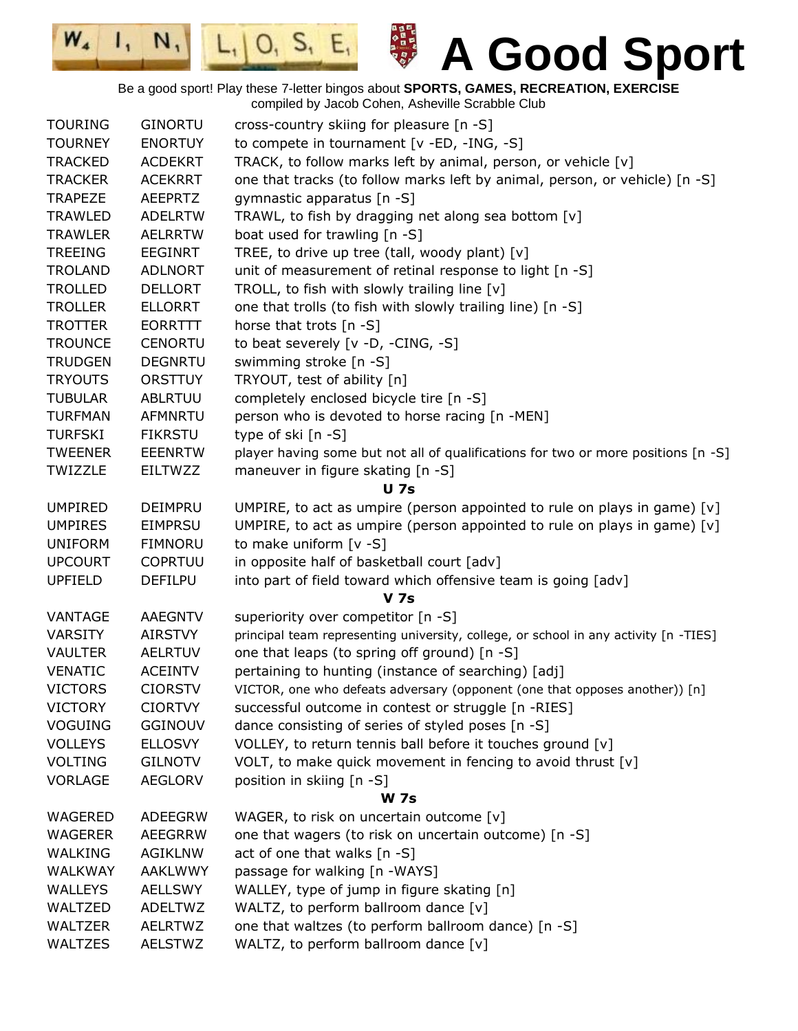日本日本の日本の

 $|0, 5, E,$ 

 $W_{4}$ 

 $\mathbf{I}_{1}$ 

 $N,$ 

| <b>TOURING</b> | <b>GINORTU</b> | cross-country skiing for pleasure [n -S]                                             |
|----------------|----------------|--------------------------------------------------------------------------------------|
| <b>TOURNEY</b> | <b>ENORTUY</b> | to compete in tournament [v -ED, -ING, -S]                                           |
| <b>TRACKED</b> | <b>ACDEKRT</b> | TRACK, to follow marks left by animal, person, or vehicle [v]                        |
| <b>TRACKER</b> | <b>ACEKRRT</b> | one that tracks (to follow marks left by animal, person, or vehicle) [n -S]          |
| <b>TRAPEZE</b> | <b>AEEPRTZ</b> | gymnastic apparatus [n -S]                                                           |
| <b>TRAWLED</b> | <b>ADELRTW</b> | TRAWL, to fish by dragging net along sea bottom [v]                                  |
| <b>TRAWLER</b> | <b>AELRRTW</b> | boat used for trawling [n -S]                                                        |
| <b>TREEING</b> | <b>EEGINRT</b> | TREE, to drive up tree (tall, woody plant) [v]                                       |
| <b>TROLAND</b> | <b>ADLNORT</b> | unit of measurement of retinal response to light [n -S]                              |
| <b>TROLLED</b> | <b>DELLORT</b> | TROLL, to fish with slowly trailing line [v]                                         |
| <b>TROLLER</b> | <b>ELLORRT</b> | one that trolls (to fish with slowly trailing line) [n -S]                           |
| <b>TROTTER</b> | EORRTTT        | horse that trots [n -S]                                                              |
| <b>TROUNCE</b> | <b>CENORTU</b> | to beat severely [v -D, -CING, -S]                                                   |
| <b>TRUDGEN</b> | <b>DEGNRTU</b> | swimming stroke [n -S]                                                               |
| <b>TRYOUTS</b> | <b>ORSTTUY</b> | TRYOUT, test of ability [n]                                                          |
| <b>TUBULAR</b> | <b>ABLRTUU</b> | completely enclosed bicycle tire [n -S]                                              |
| <b>TURFMAN</b> | <b>AFMNRTU</b> | person who is devoted to horse racing [n -MEN]                                       |
| <b>TURFSKI</b> | <b>FIKRSTU</b> | type of ski [n -S]                                                                   |
| <b>TWEENER</b> | <b>EEENRTW</b> | player having some but not all of qualifications for two or more positions [n -S]    |
| TWIZZLE        | <b>EILTWZZ</b> | maneuver in figure skating [n -S]                                                    |
|                |                | <b>U</b> 7s                                                                          |
| <b>UMPIRED</b> | DEIMPRU        | UMPIRE, to act as umpire (person appointed to rule on plays in game) $[v]$           |
| <b>UMPIRES</b> | <b>EIMPRSU</b> | UMPIRE, to act as umpire (person appointed to rule on plays in game) [v]             |
| <b>UNIFORM</b> | <b>FIMNORU</b> | to make uniform [v -S]                                                               |
| <b>UPCOURT</b> | <b>COPRTUU</b> | in opposite half of basketball court [adv]                                           |
| <b>UPFIELD</b> | <b>DEFILPU</b> | into part of field toward which offensive team is going [adv]                        |
|                |                | <b>V</b> 7s                                                                          |
| VANTAGE        | <b>AAEGNTV</b> | superiority over competitor [n -S]                                                   |
| <b>VARSITY</b> | <b>AIRSTVY</b> | principal team representing university, college, or school in any activity [n -TIES] |
| <b>VAULTER</b> | <b>AELRTUV</b> | one that leaps (to spring off ground) [n -S]                                         |
| <b>VENATIC</b> | <b>ACEINTV</b> | pertaining to hunting (instance of searching) [adj]                                  |
| <b>VICTORS</b> | <b>CIORSTV</b> | VICTOR, one who defeats adversary (opponent (one that opposes another)) [n]          |
| <b>VICTORY</b> | <b>CIORTVY</b> | successful outcome in contest or struggle [n -RIES]                                  |
| <b>VOGUING</b> | <b>GGINOUV</b> | dance consisting of series of styled poses [n -S]                                    |
| <b>VOLLEYS</b> | <b>ELLOSVY</b> | VOLLEY, to return tennis ball before it touches ground [v]                           |
| <b>VOLTING</b> | <b>GILNOTV</b> | VOLT, to make quick movement in fencing to avoid thrust [v]                          |
| <b>VORLAGE</b> | <b>AEGLORV</b> | position in skiing [n -S]                                                            |
|                |                | <b>W</b> 7s                                                                          |
| WAGERED        | <b>ADEEGRW</b> | WAGER, to risk on uncertain outcome [v]                                              |
| <b>WAGERER</b> | <b>AEEGRRW</b> | one that wagers (to risk on uncertain outcome) [n -S]                                |
| <b>WALKING</b> | <b>AGIKLNW</b> | act of one that walks [n -S]                                                         |
| <b>WALKWAY</b> | <b>AAKLWWY</b> | passage for walking [n -WAYS]                                                        |
| <b>WALLEYS</b> | <b>AELLSWY</b> | WALLEY, type of jump in figure skating [n]                                           |
| WALTZED        | <b>ADELTWZ</b> | WALTZ, to perform ballroom dance [v]                                                 |
| WALTZER        | <b>AELRTWZ</b> | one that waltzes (to perform ballroom dance) [n -S]                                  |
| WALTZES        | <b>AELSTWZ</b> | WALTZ, to perform ballroom dance [v]                                                 |